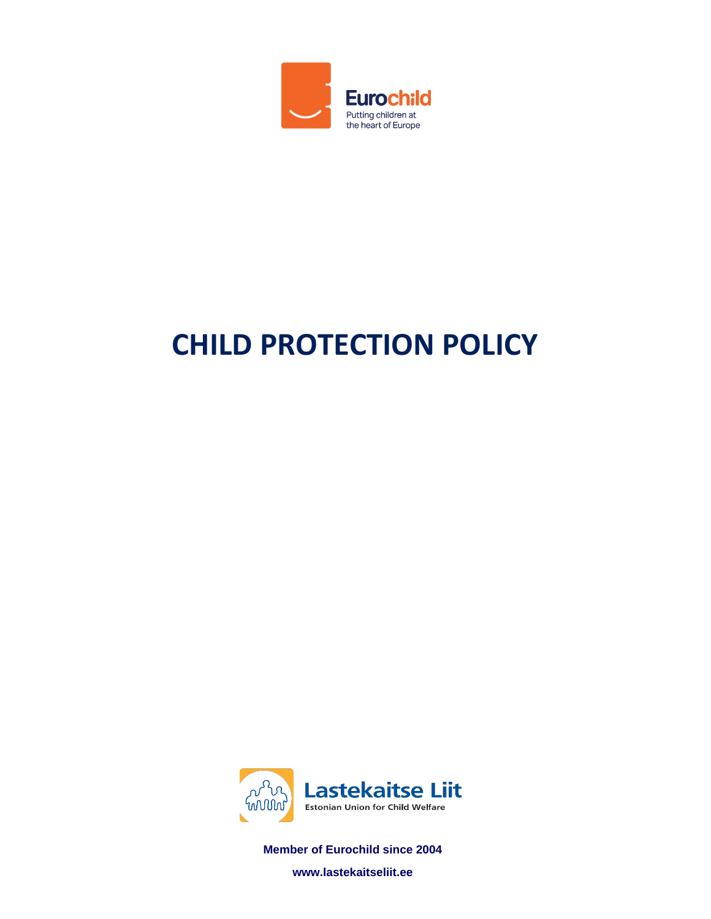

# **CHILD PROTECTION POLICY**



**Member of Eurochild since 2004**

**www.lastekaitseliit.ee**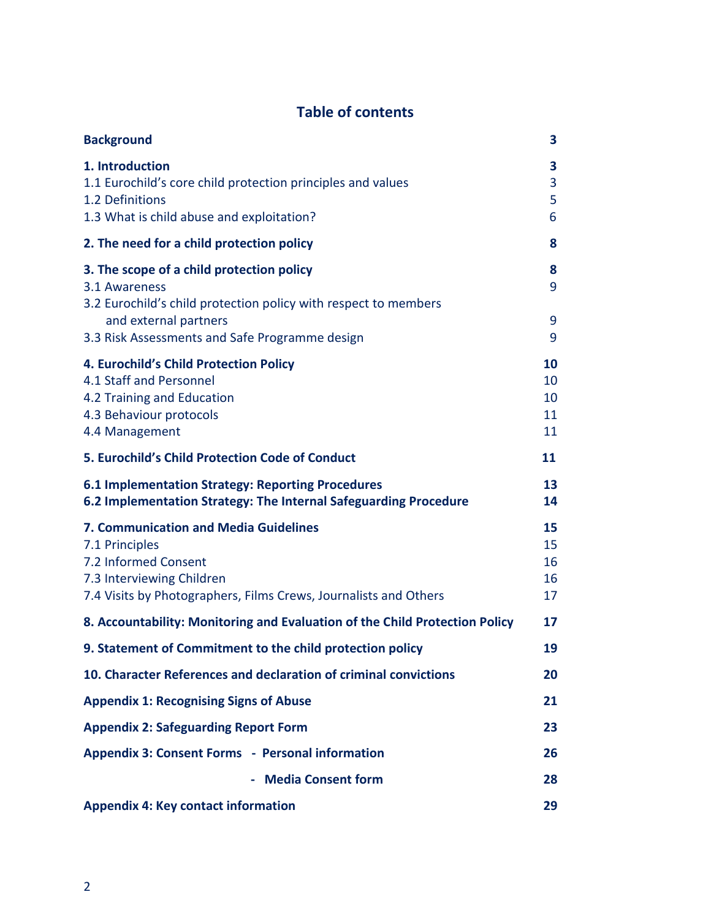# **Table of contents**

| <b>Background</b>                                                                                                                                                                       | 3                                 |
|-----------------------------------------------------------------------------------------------------------------------------------------------------------------------------------------|-----------------------------------|
| 1. Introduction<br>1.1 Eurochild's core child protection principles and values<br>1.2 Definitions<br>1.3 What is child abuse and exploitation?                                          | 3<br>3<br>5<br>6                  |
| 2. The need for a child protection policy                                                                                                                                               | 8                                 |
| 3. The scope of a child protection policy<br>3.1 Awareness<br>3.2 Eurochild's child protection policy with respect to members                                                           | 8<br>9                            |
| and external partners<br>3.3 Risk Assessments and Safe Programme design                                                                                                                 | 9<br>9                            |
| 4. Eurochild's Child Protection Policy<br>4.1 Staff and Personnel<br>4.2 Training and Education<br>4.3 Behaviour protocols<br>4.4 Management                                            | <b>10</b><br>10<br>10<br>11<br>11 |
| 5. Eurochild's Child Protection Code of Conduct                                                                                                                                         | 11                                |
| <b>6.1 Implementation Strategy: Reporting Procedures</b><br>6.2 Implementation Strategy: The Internal Safeguarding Procedure                                                            | 13<br>14                          |
| <b>7. Communication and Media Guidelines</b><br>7.1 Principles<br>7.2 Informed Consent<br>7.3 Interviewing Children<br>7.4 Visits by Photographers, Films Crews, Journalists and Others | 15<br>15<br>16<br>16<br>17        |
| 8. Accountability: Monitoring and Evaluation of the Child Protection Policy                                                                                                             | 17                                |
| 9. Statement of Commitment to the child protection policy                                                                                                                               | 19                                |
| 10. Character References and declaration of criminal convictions                                                                                                                        | 20                                |
| <b>Appendix 1: Recognising Signs of Abuse</b>                                                                                                                                           | 21                                |
| <b>Appendix 2: Safeguarding Report Form</b>                                                                                                                                             | 23                                |
| <b>Appendix 3: Consent Forms - Personal information</b>                                                                                                                                 | 26                                |
| - Media Consent form                                                                                                                                                                    | 28                                |
| <b>Appendix 4: Key contact information</b>                                                                                                                                              | 29                                |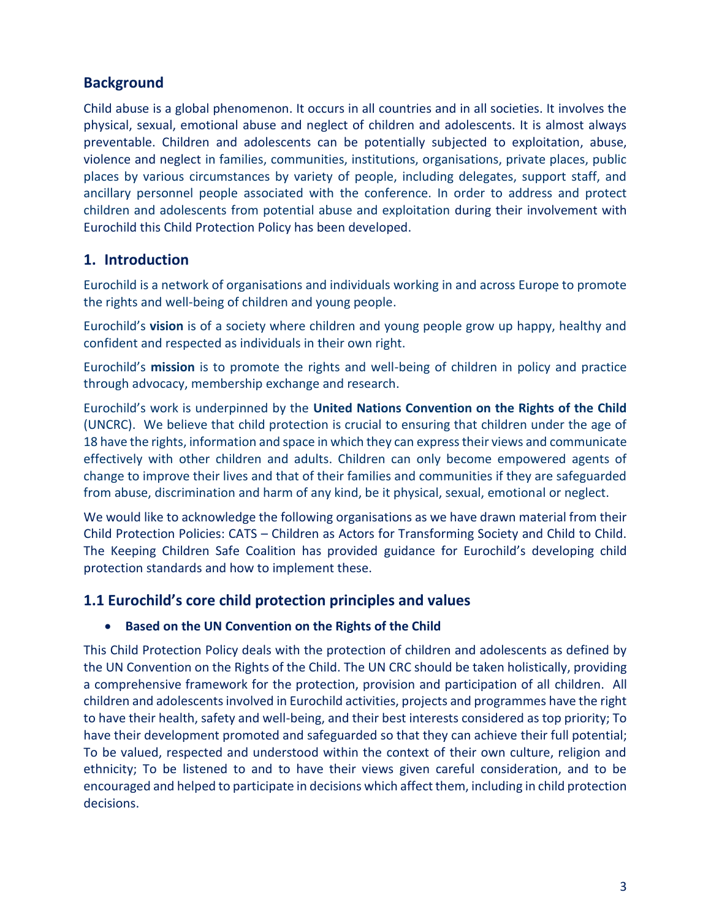# **Background**

Child abuse is a global phenomenon. It occurs in all countries and in all societies. It involves the physical, sexual, emotional abuse and neglect of children and adolescents. It is almost always preventable. Children and adolescents can be potentially subjected to exploitation, abuse, violence and neglect in families, communities, institutions, organisations, private places, public places by various circumstances by variety of people, including delegates, support staff, and ancillary personnel people associated with the conference. In order to address and protect children and adolescents from potential abuse and exploitation during their involvement with Eurochild this Child Protection Policy has been developed.

## **1. Introduction**

Eurochild is a network of organisations and individuals working in and across Europe to promote the rights and well-being of children and young people.

Eurochild's **vision** is of a society where children and young people grow up happy, healthy and confident and respected as individuals in their own right.

Eurochild's **mission** is to promote the rights and well-being of children in policy and practice through advocacy, membership exchange and research.

Eurochild's work is underpinned by the **United Nations Convention on the Rights of the Child**  (UNCRC). We believe that child protection is crucial to ensuring that children under the age of 18 have the rights, information and space in which they can express their views and communicate effectively with other children and adults. Children can only become empowered agents of change to improve their lives and that of their families and communities if they are safeguarded from abuse, discrimination and harm of any kind, be it physical, sexual, emotional or neglect.

We would like to acknowledge the following organisations as we have drawn material from their Child Protection Policies: CATS – Children as Actors for Transforming Society and Child to Child. The Keeping Children Safe Coalition has provided guidance for Eurochild's developing child protection standards and how to implement these.

## **1.1 Eurochild's core child protection principles and values**

#### **•** Based on the UN Convention on the Rights of the Child

This Child Protection Policy deals with the protection of children and adolescents as defined by the UN Convention on the Rights of the Child. The UN CRC should be taken holistically, providing a comprehensive framework for the protection, provision and participation of all children. All children and adolescents involved in Eurochild activities, projects and programmes have the right to have their health, safety and well-being, and their best interests considered as top priority; To have their development promoted and safeguarded so that they can achieve their full potential; To be valued, respected and understood within the context of their own culture, religion and ethnicity; To be listened to and to have their views given careful consideration, and to be encouraged and helped to participate in decisions which affect them, including in child protection decisions.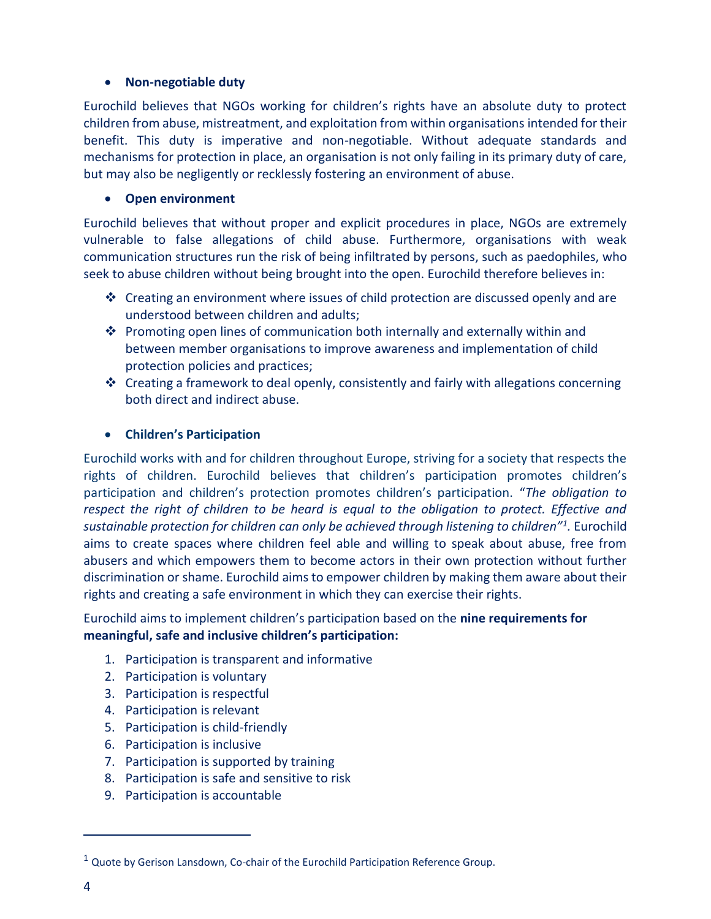#### **Non-negotiable duty**

Eurochild believes that NGOs working for children's rights have an absolute duty to protect children from abuse, mistreatment, and exploitation from within organisations intended for their benefit. This duty is imperative and non-negotiable. Without adequate standards and mechanisms for protection in place, an organisation is not only failing in its primary duty of care, but may also be negligently or recklessly fostering an environment of abuse.

#### **Open environment**

Eurochild believes that without proper and explicit procedures in place, NGOs are extremely vulnerable to false allegations of child abuse. Furthermore, organisations with weak communication structures run the risk of being infiltrated by persons, such as paedophiles, who seek to abuse children without being brought into the open. Eurochild therefore believes in:

- $\div$  Creating an environment where issues of child protection are discussed openly and are understood between children and adults;
- Promoting open lines of communication both internally and externally within and between member organisations to improve awareness and implementation of child protection policies and practices;
- Creating a framework to deal openly, consistently and fairly with allegations concerning both direct and indirect abuse.

#### **Children's Participation**

Eurochild works with and for children throughout Europe, striving for a society that respects the rights of children. Eurochild believes that children's participation promotes children's participation and children's protection promotes children's participation. "*The obligation to respect the right of children to be heard is equal to the obligation to protect. Effective and sustainable protection for children can only be achieved through listening to children"<sup>1</sup> .* Eurochild aims to create spaces where children feel able and willing to speak about abuse, free from abusers and which empowers them to become actors in their own protection without further discrimination or shame. Eurochild aims to empower children by making them aware about their rights and creating a safe environment in which they can exercise their rights.

Eurochild aims to implement children's participation based on the **nine requirements for meaningful, safe and inclusive children's participation:**

- 1. Participation is transparent and informative
- 2. Participation is voluntary
- 3. Participation is respectful
- 4. Participation is relevant
- 5. Participation is child-friendly
- 6. Participation is inclusive
- 7. Participation is supported by training
- 8. Participation is safe and sensitive to risk
- 9. Participation is accountable

 $1$  Quote by Gerison Lansdown, Co-chair of the Eurochild Participation Reference Group.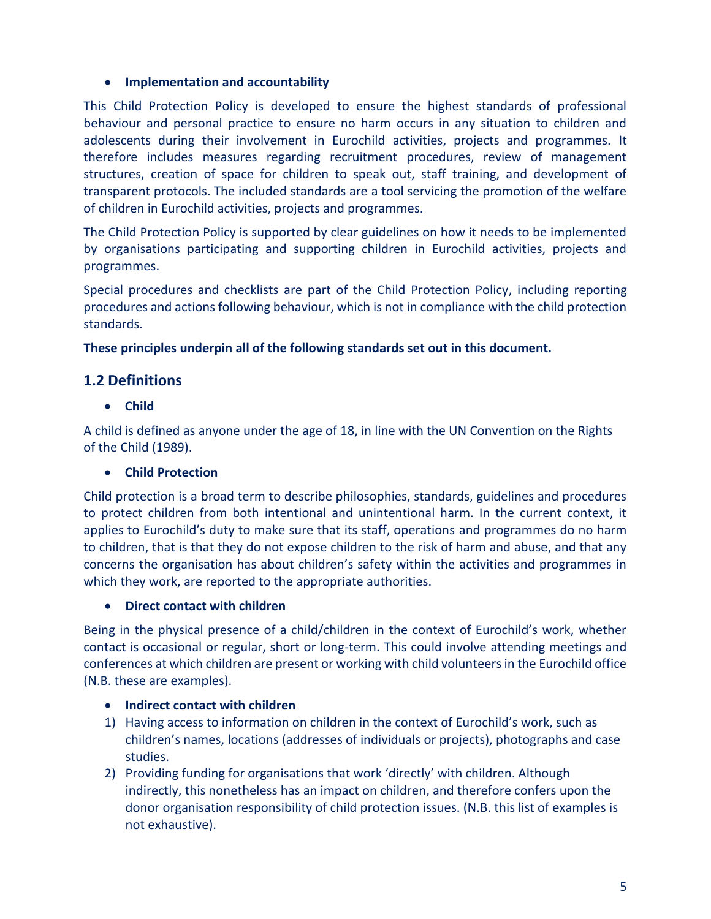#### **Implementation and accountability**

This Child Protection Policy is developed to ensure the highest standards of professional behaviour and personal practice to ensure no harm occurs in any situation to children and adolescents during their involvement in Eurochild activities, projects and programmes. It therefore includes measures regarding recruitment procedures, review of management structures, creation of space for children to speak out, staff training, and development of transparent protocols. The included standards are a tool servicing the promotion of the welfare of children in Eurochild activities, projects and programmes.

The Child Protection Policy is supported by clear guidelines on how it needs to be implemented by organisations participating and supporting children in Eurochild activities, projects and programmes.

Special procedures and checklists are part of the Child Protection Policy, including reporting procedures and actions following behaviour, which is not in compliance with the child protection standards.

#### **These principles underpin all of the following standards set out in this document.**

## **1.2 Definitions**

**Child**

A child is defined as anyone under the age of 18, in line with the UN Convention on the Rights of the Child (1989).

#### **Child Protection**

Child protection is a broad term to describe philosophies, standards, guidelines and procedures to protect children from both intentional and unintentional harm. In the current context, it applies to Eurochild's duty to make sure that its staff, operations and programmes do no harm to children, that is that they do not expose children to the risk of harm and abuse, and that any concerns the organisation has about children's safety within the activities and programmes in which they work, are reported to the appropriate authorities.

#### **Direct contact with children**

Being in the physical presence of a child/children in the context of Eurochild's work, whether contact is occasional or regular, short or long-term. This could involve attending meetings and conferences at which children are present or working with child volunteers in the Eurochild office (N.B. these are examples).

#### **Indirect contact with children**

- 1) Having access to information on children in the context of Eurochild's work, such as children's names, locations (addresses of individuals or projects), photographs and case studies.
- 2) Providing funding for organisations that work 'directly' with children. Although indirectly, this nonetheless has an impact on children, and therefore confers upon the donor organisation responsibility of child protection issues. (N.B. this list of examples is not exhaustive).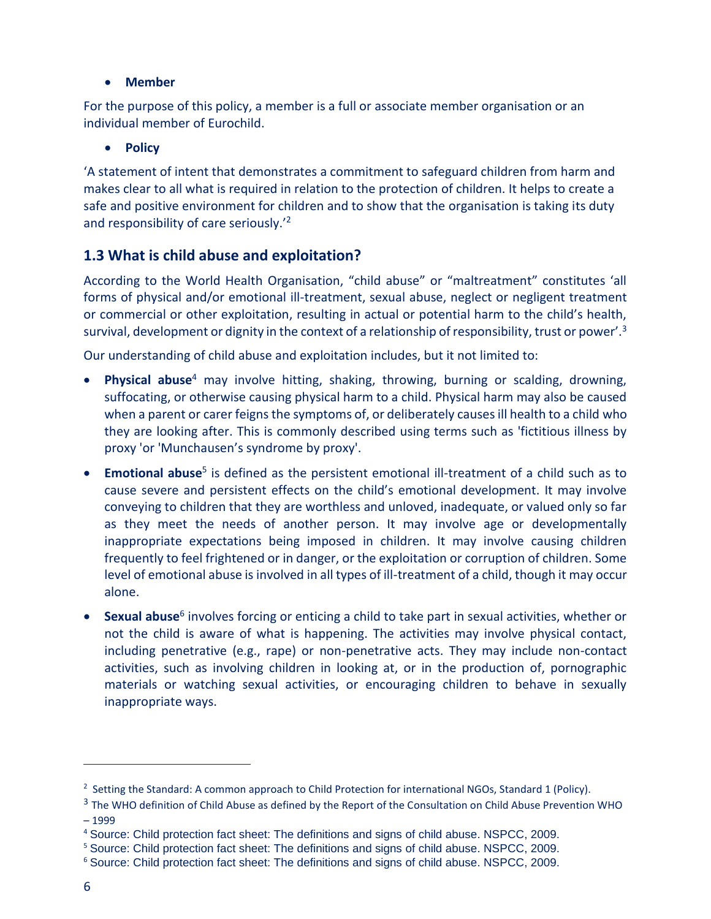#### **Member**

For the purpose of this policy, a member is a full or associate member organisation or an individual member of Eurochild.

#### **•** Policy

'A statement of intent that demonstrates a commitment to safeguard children from harm and makes clear to all what is required in relation to the protection of children. It helps to create a safe and positive environment for children and to show that the organisation is taking its duty and responsibility of care seriously.'<sup>2</sup>

## **1.3 What is child abuse and exploitation?**

According to the World Health Organisation, "child abuse" or "maltreatment" constitutes 'all forms of physical and/or emotional ill-treatment, sexual abuse, neglect or negligent treatment or commercial or other exploitation, resulting in actual or potential harm to the child's health, survival, development or dignity in the context of a relationship of responsibility, trust or power'.<sup>3</sup>

Our understanding of child abuse and exploitation includes, but it not limited to:

- **Physical abuse**<sup>4</sup> may involve hitting, shaking, throwing, burning or scalding, drowning, suffocating, or otherwise causing physical harm to a child. Physical harm may also be caused when a parent or carer feigns the symptoms of, or deliberately causes ill health to a child who they are looking after. This is commonly described using terms such as 'fictitious illness by proxy 'or 'Munchausen's syndrome by proxy'.
- **Emotional abuse**<sup>5</sup> is defined as the persistent emotional ill-treatment of a child such as to cause severe and persistent effects on the child's emotional development. It may involve conveying to children that they are worthless and unloved, inadequate, or valued only so far as they meet the needs of another person. It may involve age or developmentally inappropriate expectations being imposed in children. It may involve causing children frequently to feel frightened or in danger, or the exploitation or corruption of children. Some level of emotional abuse is involved in all types of ill-treatment of a child, though it may occur alone.
- **Sexual abuse**<sup>6</sup> involves forcing or enticing a child to take part in sexual activities, whether or not the child is aware of what is happening. The activities may involve physical contact, including penetrative (e.g., rape) or non-penetrative acts. They may include non-contact activities, such as involving children in looking at, or in the production of, pornographic materials or watching sexual activities, or encouraging children to behave in sexually inappropriate ways.

<sup>&</sup>lt;sup>2</sup> Setting the Standard: A common approach to Child Protection for international NGOs, Standard 1 (Policy).

 $3$  The WHO definition of Child Abuse as defined by the Report of the Consultation on Child Abuse Prevention WHO – 1999

<sup>4</sup> Source: Child protection fact sheet: The definitions and signs of child abuse. NSPCC, 2009.

<sup>5</sup> Source: Child protection fact sheet: The definitions and signs of child abuse. NSPCC, 2009.

<sup>6</sup> Source: Child protection fact sheet: The definitions and signs of child abuse. NSPCC, 2009.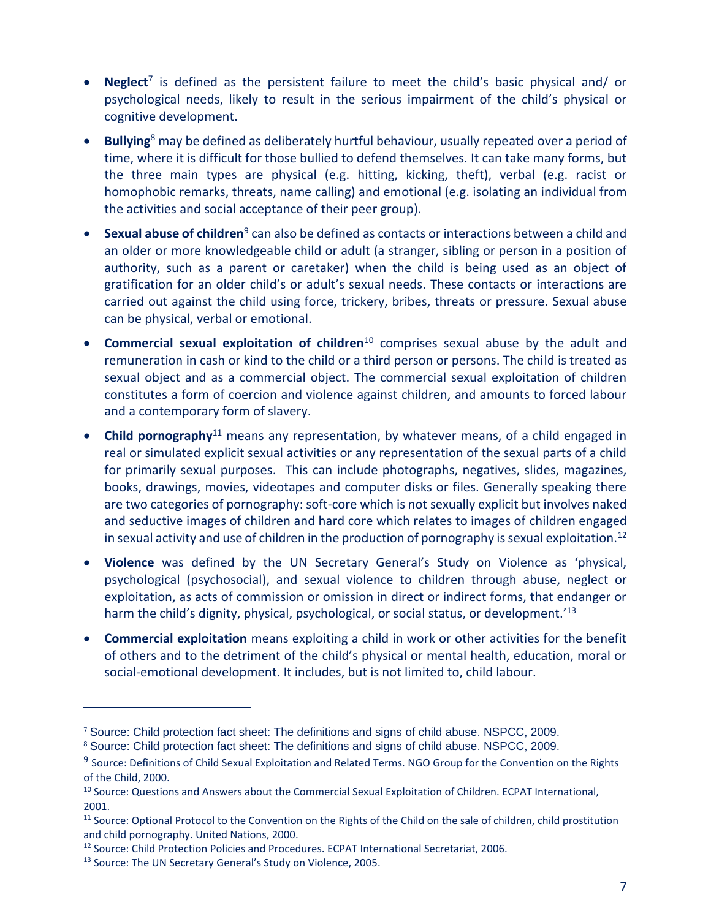- **Neglect**<sup>7</sup> is defined as the persistent failure to meet the child's basic physical and/ or psychological needs, likely to result in the serious impairment of the child's physical or cognitive development.
- **Bullying**<sup>8</sup> may be defined as deliberately hurtful behaviour, usually repeated over a period of time, where it is difficult for those bullied to defend themselves. It can take many forms, but the three main types are physical (e.g. hitting, kicking, theft), verbal (e.g. racist or homophobic remarks, threats, name calling) and emotional (e.g. isolating an individual from the activities and social acceptance of their peer group).
- **Sexual abuse of children**<sup>9</sup> can also be defined as contacts or interactions between a child and an older or more knowledgeable child or adult (a stranger, sibling or person in a position of authority, such as a parent or caretaker) when the child is being used as an object of gratification for an older child's or adult's sexual needs. These contacts or interactions are carried out against the child using force, trickery, bribes, threats or pressure. Sexual abuse can be physical, verbal or emotional.
- **Commercial sexual exploitation of children**<sup>10</sup> comprises sexual abuse by the adult and remuneration in cash or kind to the child or a third person or persons. The child is treated as sexual object and as a commercial object. The commercial sexual exploitation of children constitutes a form of coercion and violence against children, and amounts to forced labour and a contemporary form of slavery.
- **Child pornography**<sup>11</sup> means any representation, by whatever means, of a child engaged in real or simulated explicit sexual activities or any representation of the sexual parts of a child for primarily sexual purposes. This can include photographs, negatives, slides, magazines, books, drawings, movies, videotapes and computer disks or files. Generally speaking there are two categories of pornography: soft-core which is not sexually explicit but involves naked and seductive images of children and hard core which relates to images of children engaged in sexual activity and use of children in the production of pornography is sexual exploitation.<sup>12</sup>
- **Violence** was defined by the UN Secretary General's Study on Violence as 'physical, psychological (psychosocial), and sexual violence to children through abuse, neglect or exploitation, as acts of commission or omission in direct or indirect forms, that endanger or harm the child's dignity, physical, psychological, or social status, or development.<sup>'13</sup>
- **Commercial exploitation** means exploiting a child in work or other activities for the benefit of others and to the detriment of the child's physical or mental health, education, moral or social-emotional development. It includes, but is not limited to, child labour.

<sup>7</sup> Source: Child protection fact sheet: The definitions and signs of child abuse. NSPCC, 2009.

<sup>8</sup> Source: Child protection fact sheet: The definitions and signs of child abuse. NSPCC, 2009.

<sup>&</sup>lt;sup>9</sup> Source: Definitions of Child Sexual Exploitation and Related Terms. NGO Group for the Convention on the Rights of the Child, 2000.

<sup>&</sup>lt;sup>10</sup> Source: Questions and Answers about the Commercial Sexual Exploitation of Children. ECPAT International, 2001.

<sup>&</sup>lt;sup>11</sup> Source: Optional Protocol to the Convention on the Rights of the Child on the sale of children, child prostitution and child pornography. United Nations, 2000.

<sup>12</sup> Source: Child Protection Policies and Procedures. ECPAT International Secretariat, 2006.

<sup>&</sup>lt;sup>13</sup> Source: The UN Secretary General's Study on Violence, 2005.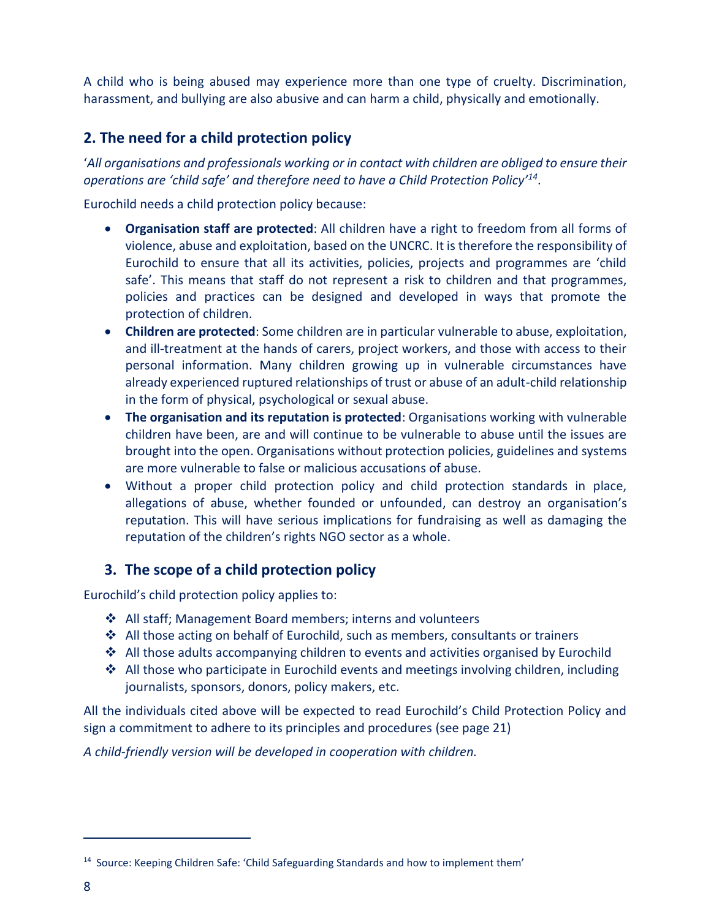A child who is being abused may experience more than one type of cruelty. Discrimination, harassment, and bullying are also abusive and can harm a child, physically and emotionally.

## **2. The need for a child protection policy**

'*All organisations and professionals working or in contact with children are obliged to ensure their operations are 'child safe' and therefore need to have a Child Protection Policy'<sup>14</sup>* .

Eurochild needs a child protection policy because:

- **Organisation staff are protected**: All children have a right to freedom from all forms of violence, abuse and exploitation, based on the UNCRC. It is therefore the responsibility of Eurochild to ensure that all its activities, policies, projects and programmes are 'child safe'. This means that staff do not represent a risk to children and that programmes, policies and practices can be designed and developed in ways that promote the protection of children.
- **Children are protected**: Some children are in particular vulnerable to abuse, exploitation, and ill-treatment at the hands of carers, project workers, and those with access to their personal information. Many children growing up in vulnerable circumstances have already experienced ruptured relationships of trust or abuse of an adult-child relationship in the form of physical, psychological or sexual abuse.
- **The organisation and its reputation is protected**: Organisations working with vulnerable children have been, are and will continue to be vulnerable to abuse until the issues are brought into the open. Organisations without protection policies, guidelines and systems are more vulnerable to false or malicious accusations of abuse.
- Without a proper child protection policy and child protection standards in place, allegations of abuse, whether founded or unfounded, can destroy an organisation's reputation. This will have serious implications for fundraising as well as damaging the reputation of the children's rights NGO sector as a whole.

## **3. The scope of a child protection policy**

Eurochild's child protection policy applies to:

- ◆ All staff; Management Board members; interns and volunteers
- $\clubsuit$  All those acting on behalf of Eurochild, such as members, consultants or trainers
- $\triangle$  All those adults accompanying children to events and activities organised by Eurochild
- ◆ All those who participate in Eurochild events and meetings involving children, including journalists, sponsors, donors, policy makers, etc.

All the individuals cited above will be expected to read Eurochild's Child Protection Policy and sign a commitment to adhere to its principles and procedures (see page 21)

*A child-friendly version will be developed in cooperation with children.*

<sup>&</sup>lt;sup>14</sup> Source: Keeping Children Safe: 'Child Safeguarding Standards and how to implement them'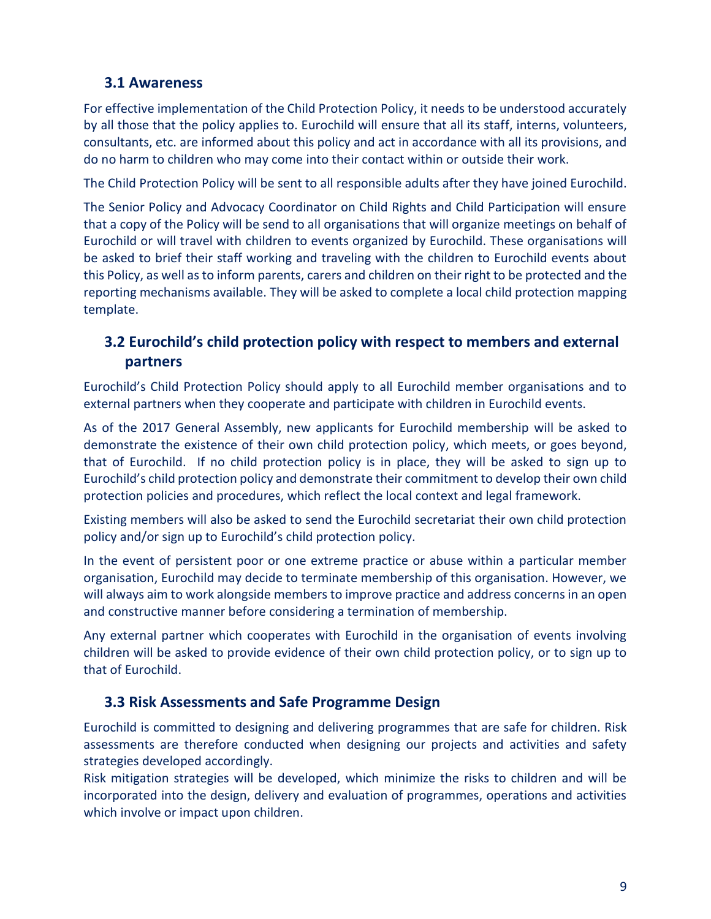## **3.1 Awareness**

For effective implementation of the Child Protection Policy, it needs to be understood accurately by all those that the policy applies to. Eurochild will ensure that all its staff, interns, volunteers, consultants, etc. are informed about this policy and act in accordance with all its provisions, and do no harm to children who may come into their contact within or outside their work.

The Child Protection Policy will be sent to all responsible adults after they have joined Eurochild.

The Senior Policy and Advocacy Coordinator on Child Rights and Child Participation will ensure that a copy of the Policy will be send to all organisations that will organize meetings on behalf of Eurochild or will travel with children to events organized by Eurochild. These organisations will be asked to brief their staff working and traveling with the children to Eurochild events about this Policy, as well as to inform parents, carers and children on their right to be protected and the reporting mechanisms available. They will be asked to complete a local child protection mapping template.

# **3.2 Eurochild's child protection policy with respect to members and external partners**

Eurochild's Child Protection Policy should apply to all Eurochild member organisations and to external partners when they cooperate and participate with children in Eurochild events.

As of the 2017 General Assembly, new applicants for Eurochild membership will be asked to demonstrate the existence of their own child protection policy, which meets, or goes beyond, that of Eurochild. If no child protection policy is in place, they will be asked to sign up to Eurochild's child protection policy and demonstrate their commitment to develop their own child protection policies and procedures, which reflect the local context and legal framework.

Existing members will also be asked to send the Eurochild secretariat their own child protection policy and/or sign up to Eurochild's child protection policy.

In the event of persistent poor or one extreme practice or abuse within a particular member organisation, Eurochild may decide to terminate membership of this organisation. However, we will always aim to work alongside members to improve practice and address concerns in an open and constructive manner before considering a termination of membership.

Any external partner which cooperates with Eurochild in the organisation of events involving children will be asked to provide evidence of their own child protection policy, or to sign up to that of Eurochild.

# **3.3 Risk Assessments and Safe Programme Design**

Eurochild is committed to designing and delivering programmes that are safe for children. Risk assessments are therefore conducted when designing our projects and activities and safety strategies developed accordingly.

Risk mitigation strategies will be developed, which minimize the risks to children and will be incorporated into the design, delivery and evaluation of programmes, operations and activities which involve or impact upon children.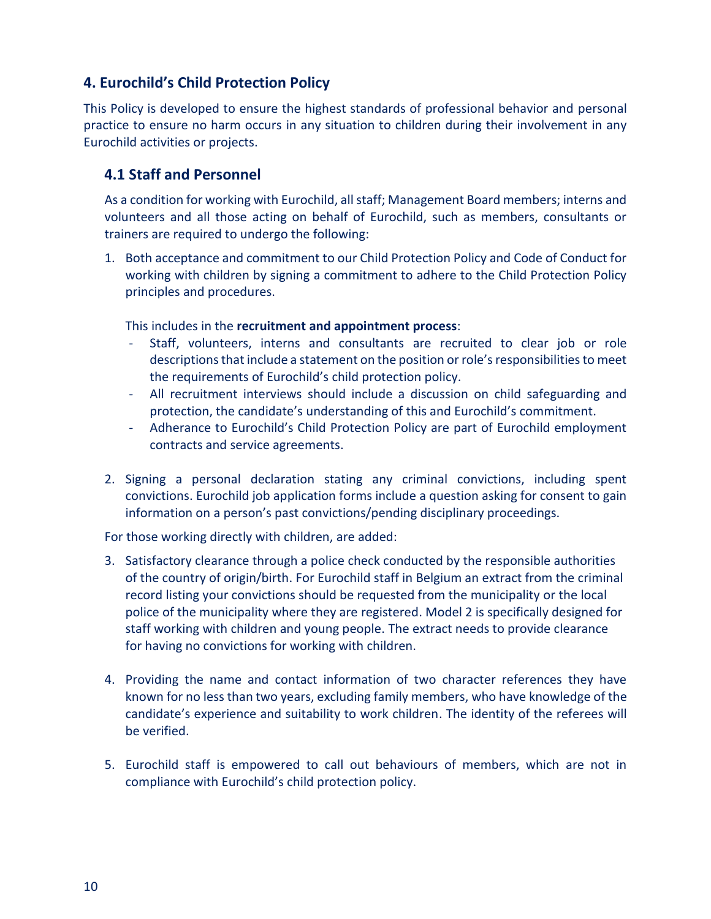## **4. Eurochild's Child Protection Policy**

This Policy is developed to ensure the highest standards of professional behavior and personal practice to ensure no harm occurs in any situation to children during their involvement in any Eurochild activities or projects.

## **4.1 Staff and Personnel**

As a condition for working with Eurochild, all staff; Management Board members; interns and volunteers and all those acting on behalf of Eurochild, such as members, consultants or trainers are required to undergo the following:

1. Both acceptance and commitment to our Child Protection Policy and Code of Conduct for working with children by signing a commitment to adhere to the Child Protection Policy principles and procedures.

This includes in the **recruitment and appointment process**:

- Staff, volunteers, interns and consultants are recruited to clear job or role descriptions that include a statement on the position or role's responsibilities to meet the requirements of Eurochild's child protection policy.
- All recruitment interviews should include a discussion on child safeguarding and protection, the candidate's understanding of this and Eurochild's commitment.
- Adherance to Eurochild's Child Protection Policy are part of Eurochild employment contracts and service agreements.
- 2. Signing a personal declaration stating any criminal convictions, including spent convictions. Eurochild job application forms include a question asking for consent to gain information on a person's past convictions/pending disciplinary proceedings.

For those working directly with children, are added:

- 3. Satisfactory clearance through a police check conducted by the responsible authorities of the country of origin/birth. For Eurochild staff in Belgium an extract from the criminal record listing your convictions should be requested from the municipality or the local police of the municipality where they are registered. Model 2 is specifically designed for staff working with children and young people. The extract needs to provide clearance for having no convictions for working with children.
- 4. Providing the name and contact information of two character references they have known for no less than two years, excluding family members, who have knowledge of the candidate's experience and suitability to work children. The identity of the referees will be verified.
- 5. Eurochild staff is empowered to call out behaviours of members, which are not in compliance with Eurochild's child protection policy.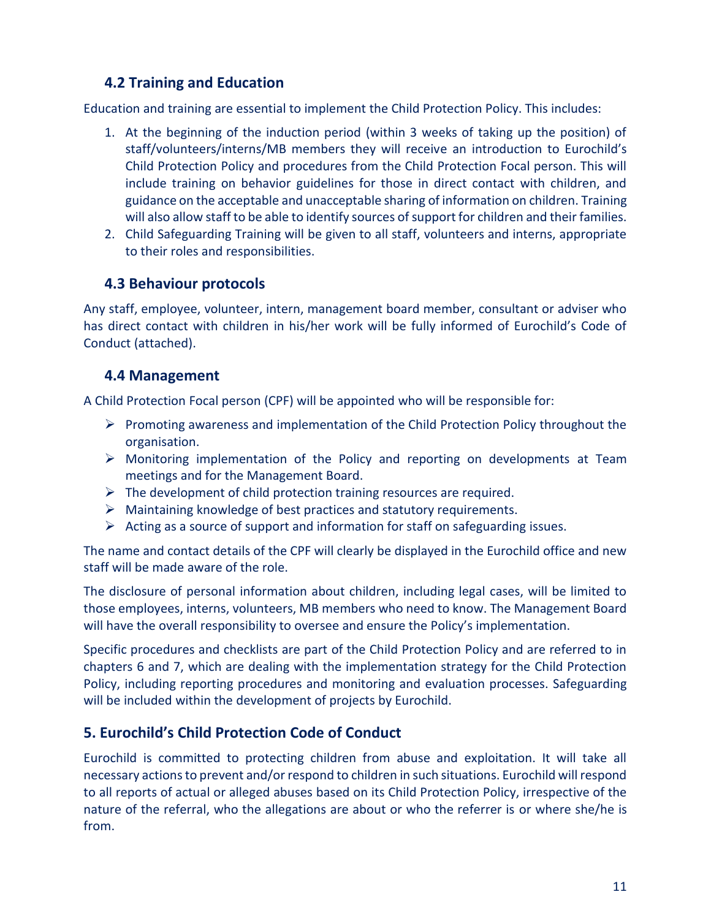# **4.2 Training and Education**

Education and training are essential to implement the Child Protection Policy. This includes:

- 1. At the beginning of the induction period (within 3 weeks of taking up the position) of staff/volunteers/interns/MB members they will receive an introduction to Eurochild's Child Protection Policy and procedures from the Child Protection Focal person. This will include training on behavior guidelines for those in direct contact with children, and guidance on the acceptable and unacceptable sharing of information on children. Training will also allow staff to be able to identify sources of support for children and their families.
- 2. Child Safeguarding Training will be given to all staff, volunteers and interns, appropriate to their roles and responsibilities.

## **4.3 Behaviour protocols**

Any staff, employee, volunteer, intern, management board member, consultant or adviser who has direct contact with children in his/her work will be fully informed of Eurochild's Code of Conduct (attached).

## **4.4 Management**

A Child Protection Focal person (CPF) will be appointed who will be responsible for:

- $\triangleright$  Promoting awareness and implementation of the Child Protection Policy throughout the organisation.
- Monitoring implementation of the Policy and reporting on developments at Team meetings and for the Management Board.
- $\triangleright$  The development of child protection training resources are required.
- $\triangleright$  Maintaining knowledge of best practices and statutory requirements.
- $\triangleright$  Acting as a source of support and information for staff on safeguarding issues.

The name and contact details of the CPF will clearly be displayed in the Eurochild office and new staff will be made aware of the role.

The disclosure of personal information about children, including legal cases, will be limited to those employees, interns, volunteers, MB members who need to know. The Management Board will have the overall responsibility to oversee and ensure the Policy's implementation.

Specific procedures and checklists are part of the Child Protection Policy and are referred to in chapters 6 and 7, which are dealing with the implementation strategy for the Child Protection Policy, including reporting procedures and monitoring and evaluation processes. Safeguarding will be included within the development of projects by Eurochild.

# **5. Eurochild's Child Protection Code of Conduct**

Eurochild is committed to protecting children from abuse and exploitation. It will take all necessary actions to prevent and/or respond to children in such situations. Eurochild will respond to all reports of actual or alleged abuses based on its Child Protection Policy, irrespective of the nature of the referral, who the allegations are about or who the referrer is or where she/he is from.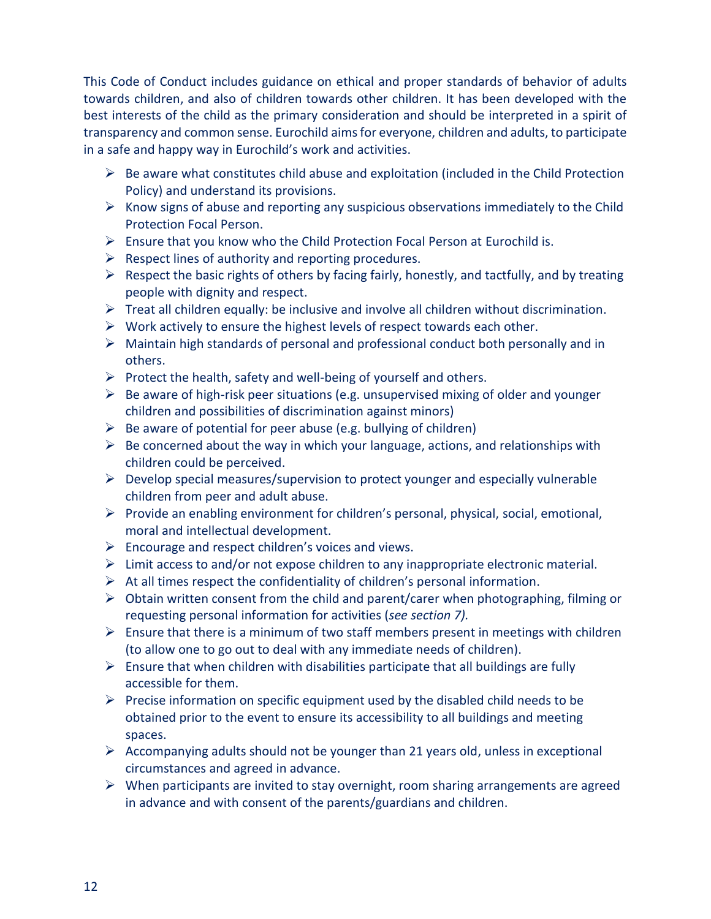This Code of Conduct includes guidance on ethical and proper standards of behavior of adults towards children, and also of children towards other children. It has been developed with the best interests of the child as the primary consideration and should be interpreted in a spirit of transparency and common sense. Eurochild aims for everyone, children and adults, to participate in a safe and happy way in Eurochild's work and activities.

- $\triangleright$  Be aware what constitutes child abuse and exploitation (included in the Child Protection Policy) and understand its provisions.
- $\triangleright$  Know signs of abuse and reporting any suspicious observations immediately to the Child Protection Focal Person.
- $\triangleright$  Ensure that you know who the Child Protection Focal Person at Eurochild is.
- $\triangleright$  Respect lines of authority and reporting procedures.
- $\triangleright$  Respect the basic rights of others by facing fairly, honestly, and tactfully, and by treating people with dignity and respect.
- $\triangleright$  Treat all children equally: be inclusive and involve all children without discrimination.
- $\triangleright$  Work actively to ensure the highest levels of respect towards each other.
- $\triangleright$  Maintain high standards of personal and professional conduct both personally and in others.
- $\triangleright$  Protect the health, safety and well-being of yourself and others.
- $\triangleright$  Be aware of high-risk peer situations (e.g. unsupervised mixing of older and younger children and possibilities of discrimination against minors)
- $\triangleright$  Be aware of potential for peer abuse (e.g. bullying of children)
- $\triangleright$  Be concerned about the way in which your language, actions, and relationships with children could be perceived.
- $\triangleright$  Develop special measures/supervision to protect younger and especially vulnerable children from peer and adult abuse.
- $\triangleright$  Provide an enabling environment for children's personal, physical, social, emotional, moral and intellectual development.
- $\triangleright$  Encourage and respect children's voices and views.
- $\triangleright$  Limit access to and/or not expose children to any inappropriate electronic material.
- $\triangleright$  At all times respect the confidentiality of children's personal information.
- $\triangleright$  Obtain written consent from the child and parent/carer when photographing, filming or requesting personal information for activities (*see section 7).*
- $\triangleright$  Ensure that there is a minimum of two staff members present in meetings with children (to allow one to go out to deal with any immediate needs of children).
- $\triangleright$  Ensure that when children with disabilities participate that all buildings are fully accessible for them.
- Precise information on specific equipment used by the disabled child needs to be obtained prior to the event to ensure its accessibility to all buildings and meeting spaces.
- $\triangleright$  Accompanying adults should not be younger than 21 years old, unless in exceptional circumstances and agreed in advance.
- $\triangleright$  When participants are invited to stay overnight, room sharing arrangements are agreed in advance and with consent of the parents/guardians and children.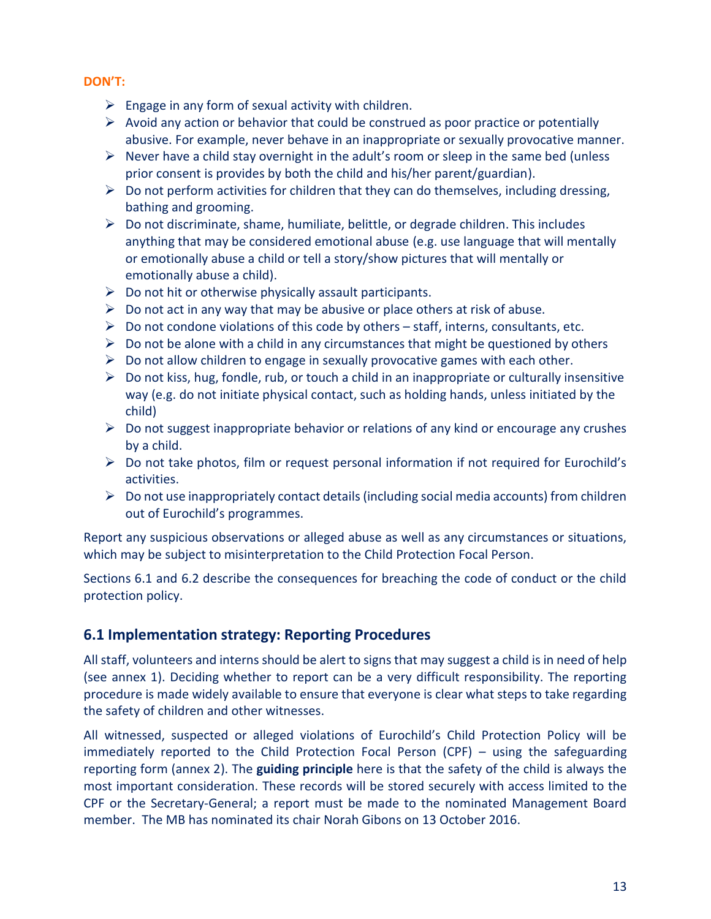#### **DON'T:**

- $\triangleright$  Engage in any form of sexual activity with children.
- $\triangleright$  Avoid any action or behavior that could be construed as poor practice or potentially abusive. For example, never behave in an inappropriate or sexually provocative manner.
- $\triangleright$  Never have a child stay overnight in the adult's room or sleep in the same bed (unless prior consent is provides by both the child and his/her parent/guardian).
- $\triangleright$  Do not perform activities for children that they can do themselves, including dressing, bathing and grooming.
- $\triangleright$  Do not discriminate, shame, humiliate, belittle, or degrade children. This includes anything that may be considered emotional abuse (e.g. use language that will mentally or emotionally abuse a child or tell a story/show pictures that will mentally or emotionally abuse a child).
- $\triangleright$  Do not hit or otherwise physically assault participants.
- $\triangleright$  Do not act in any way that may be abusive or place others at risk of abuse.
- $\triangleright$  Do not condone violations of this code by others staff, interns, consultants, etc.
- $\triangleright$  Do not be alone with a child in any circumstances that might be questioned by others
- $\triangleright$  Do not allow children to engage in sexually provocative games with each other.
- $\triangleright$  Do not kiss, hug, fondle, rub, or touch a child in an inappropriate or culturally insensitive way (e.g. do not initiate physical contact, such as holding hands, unless initiated by the child)
- $\triangleright$  Do not suggest inappropriate behavior or relations of any kind or encourage any crushes by a child.
- $\triangleright$  Do not take photos, film or request personal information if not required for Eurochild's activities.
- $\triangleright$  Do not use inappropriately contact details (including social media accounts) from children out of Eurochild's programmes.

Report any suspicious observations or alleged abuse as well as any circumstances or situations, which may be subject to misinterpretation to the Child Protection Focal Person.

Sections 6.1 and 6.2 describe the consequences for breaching the code of conduct or the child protection policy.

# **6.1 Implementation strategy: Reporting Procedures**

All staff, volunteers and interns should be alert to signs that may suggest a child is in need of help (see annex 1). Deciding whether to report can be a very difficult responsibility. The reporting procedure is made widely available to ensure that everyone is clear what steps to take regarding the safety of children and other witnesses.

All witnessed, suspected or alleged violations of Eurochild's Child Protection Policy will be immediately reported to the Child Protection Focal Person (CPF) – using the safeguarding reporting form (annex 2). The **guiding principle** here is that the safety of the child is always the most important consideration. These records will be stored securely with access limited to the CPF or the Secretary-General; a report must be made to the nominated Management Board member. The MB has nominated its chair Norah Gibons on 13 October 2016.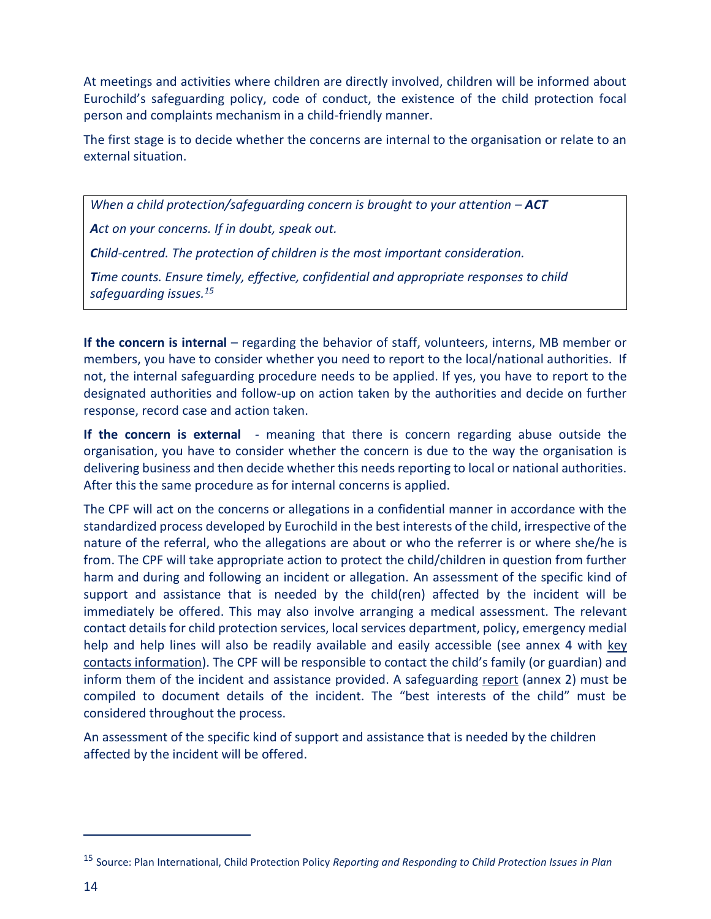At meetings and activities where children are directly involved, children will be informed about Eurochild's safeguarding policy, code of conduct, the existence of the child protection focal person and complaints mechanism in a child-friendly manner.

The first stage is to decide whether the concerns are internal to the organisation or relate to an external situation.

*When a child protection/safequarding concern is brought to your attention – ACT Act on your concerns. If in doubt, speak out. Child-centred. The protection of children is the most important consideration. Time counts. Ensure timely, effective, confidential and appropriate responses to child safeguarding issues.<sup>15</sup>*

**If the concern is internal** – regarding the behavior of staff, volunteers, interns, MB member or members, you have to consider whether you need to report to the local/national authorities. If not, the internal safeguarding procedure needs to be applied. If yes, you have to report to the designated authorities and follow-up on action taken by the authorities and decide on further response, record case and action taken.

**If the concern is external** - meaning that there is concern regarding abuse outside the organisation, you have to consider whether the concern is due to the way the organisation is delivering business and then decide whether this needs reporting to local or national authorities. After this the same procedure as for internal concerns is applied.

The CPF will act on the concerns or allegations in a confidential manner in accordance with the standardized process developed by Eurochild in the best interests of the child, irrespective of the nature of the referral, who the allegations are about or who the referrer is or where she/he is from. The CPF will take appropriate action to protect the child/children in question from further harm and during and following an incident or allegation. An assessment of the specific kind of support and assistance that is needed by the child(ren) affected by the incident will be immediately be offered. This may also involve arranging a medical assessment. The relevant contact details for child protection services, local services department, policy, emergency medial help and help lines will also be readily available and easily accessible (see annex 4 with key contacts information). The CPF will be responsible to contact the child's family (or guardian) and inform them of the incident and assistance provided. A safeguarding report (annex 2) must be compiled to document details of the incident. The "best interests of the child" must be considered throughout the process.

An assessment of the specific kind of support and assistance that is needed by the children affected by the incident will be offered.

<sup>15</sup> Source: Plan International, Child Protection Policy *Reporting and Responding to Child Protection Issues in Plan*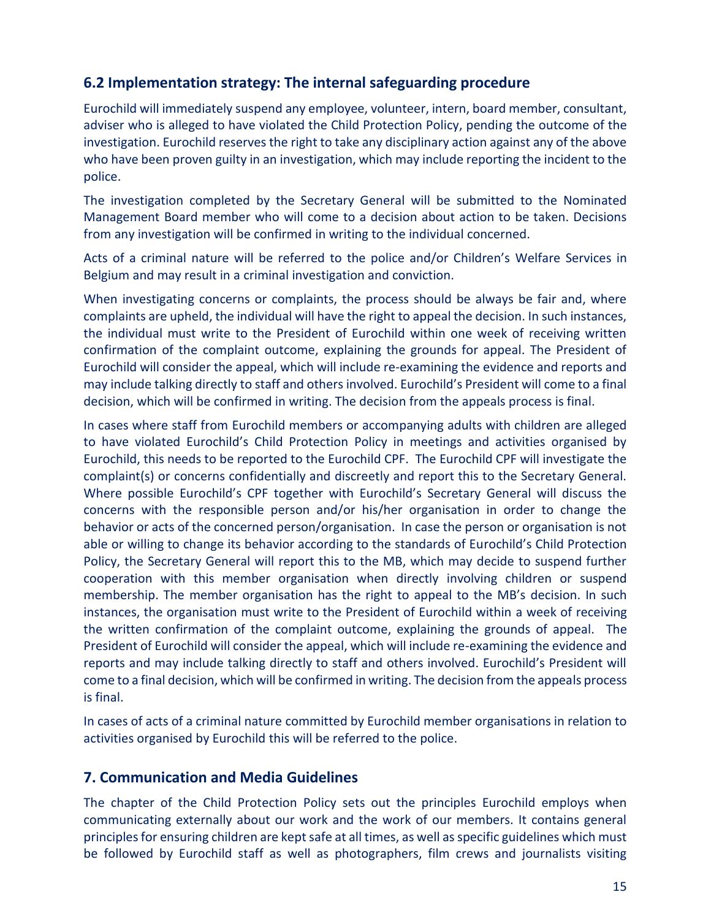## **6.2 Implementation strategy: The internal safeguarding procedure**

Eurochild will immediately suspend any employee, volunteer, intern, board member, consultant, adviser who is alleged to have violated the Child Protection Policy, pending the outcome of the investigation. Eurochild reserves the right to take any disciplinary action against any of the above who have been proven guilty in an investigation, which may include reporting the incident to the police.

The investigation completed by the Secretary General will be submitted to the Nominated Management Board member who will come to a decision about action to be taken. Decisions from any investigation will be confirmed in writing to the individual concerned.

Acts of a criminal nature will be referred to the police and/or Children's Welfare Services in Belgium and may result in a criminal investigation and conviction.

When investigating concerns or complaints, the process should be always be fair and, where complaints are upheld, the individual will have the right to appeal the decision. In such instances, the individual must write to the President of Eurochild within one week of receiving written confirmation of the complaint outcome, explaining the grounds for appeal. The President of Eurochild will consider the appeal, which will include re-examining the evidence and reports and may include talking directly to staff and others involved. Eurochild's President will come to a final decision, which will be confirmed in writing. The decision from the appeals process is final.

In cases where staff from Eurochild members or accompanying adults with children are alleged to have violated Eurochild's Child Protection Policy in meetings and activities organised by Eurochild, this needs to be reported to the Eurochild CPF. The Eurochild CPF will investigate the complaint(s) or concerns confidentially and discreetly and report this to the Secretary General. Where possible Eurochild's CPF together with Eurochild's Secretary General will discuss the concerns with the responsible person and/or his/her organisation in order to change the behavior or acts of the concerned person/organisation. In case the person or organisation is not able or willing to change its behavior according to the standards of Eurochild's Child Protection Policy, the Secretary General will report this to the MB, which may decide to suspend further cooperation with this member organisation when directly involving children or suspend membership. The member organisation has the right to appeal to the MB's decision. In such instances, the organisation must write to the President of Eurochild within a week of receiving the written confirmation of the complaint outcome, explaining the grounds of appeal. The President of Eurochild will consider the appeal, which will include re-examining the evidence and reports and may include talking directly to staff and others involved. Eurochild's President will come to a final decision, which will be confirmed in writing. The decision from the appeals process is final.

In cases of acts of a criminal nature committed by Eurochild member organisations in relation to activities organised by Eurochild this will be referred to the police.

#### **7. Communication and Media Guidelines**

The chapter of the Child Protection Policy sets out the principles Eurochild employs when communicating externally about our work and the work of our members. It contains general principles for ensuring children are kept safe at all times, as well as specific guidelines which must be followed by Eurochild staff as well as photographers, film crews and journalists visiting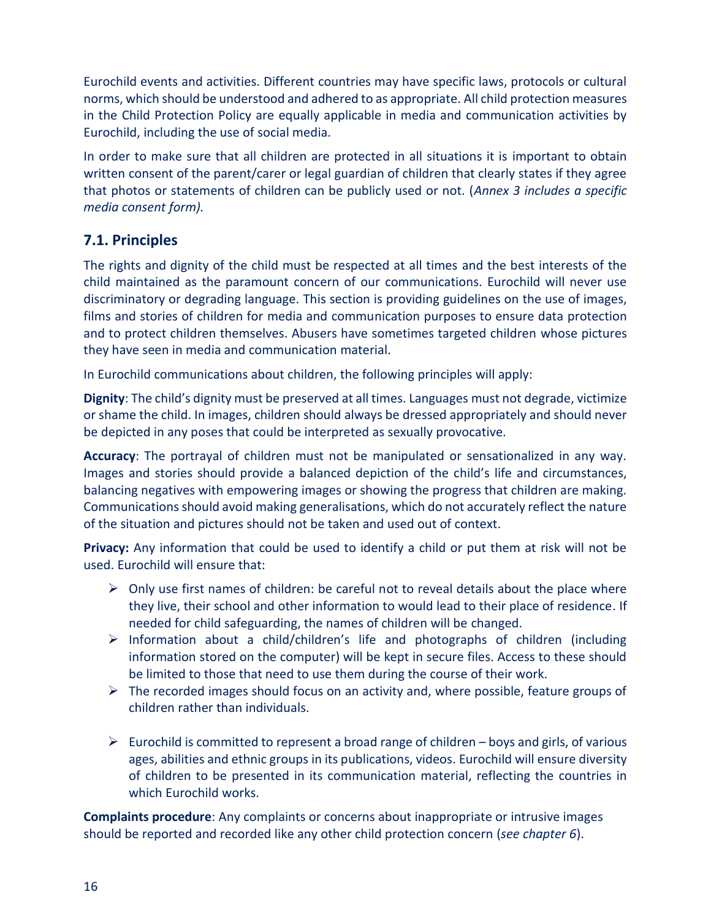Eurochild events and activities. Different countries may have specific laws, protocols or cultural norms, which should be understood and adhered to as appropriate. All child protection measures in the Child Protection Policy are equally applicable in media and communication activities by Eurochild, including the use of social media.

In order to make sure that all children are protected in all situations it is important to obtain written consent of the parent/carer or legal guardian of children that clearly states if they agree that photos or statements of children can be publicly used or not. (*Annex 3 includes a specific media consent form).*

# **7.1. Principles**

The rights and dignity of the child must be respected at all times and the best interests of the child maintained as the paramount concern of our communications. Eurochild will never use discriminatory or degrading language. This section is providing guidelines on the use of images, films and stories of children for media and communication purposes to ensure data protection and to protect children themselves. Abusers have sometimes targeted children whose pictures they have seen in media and communication material.

In Eurochild communications about children, the following principles will apply:

**Dignity**: The child's dignity must be preserved at all times. Languages must not degrade, victimize or shame the child. In images, children should always be dressed appropriately and should never be depicted in any poses that could be interpreted as sexually provocative.

**Accuracy**: The portrayal of children must not be manipulated or sensationalized in any way. Images and stories should provide a balanced depiction of the child's life and circumstances, balancing negatives with empowering images or showing the progress that children are making. Communications should avoid making generalisations, which do not accurately reflect the nature of the situation and pictures should not be taken and used out of context.

**Privacy:** Any information that could be used to identify a child or put them at risk will not be used. Eurochild will ensure that:

- $\triangleright$  Only use first names of children: be careful not to reveal details about the place where they live, their school and other information to would lead to their place of residence. If needed for child safeguarding, the names of children will be changed.
- $\triangleright$  Information about a child/children's life and photographs of children (including information stored on the computer) will be kept in secure files. Access to these should be limited to those that need to use them during the course of their work.
- $\triangleright$  The recorded images should focus on an activity and, where possible, feature groups of children rather than individuals.
- Eurochild is committed to represent a broad range of children boys and girls, of various ages, abilities and ethnic groups in its publications, videos. Eurochild will ensure diversity of children to be presented in its communication material, reflecting the countries in which Eurochild works.

**Complaints procedure**: Any complaints or concerns about inappropriate or intrusive images should be reported and recorded like any other child protection concern (*see chapter 6*).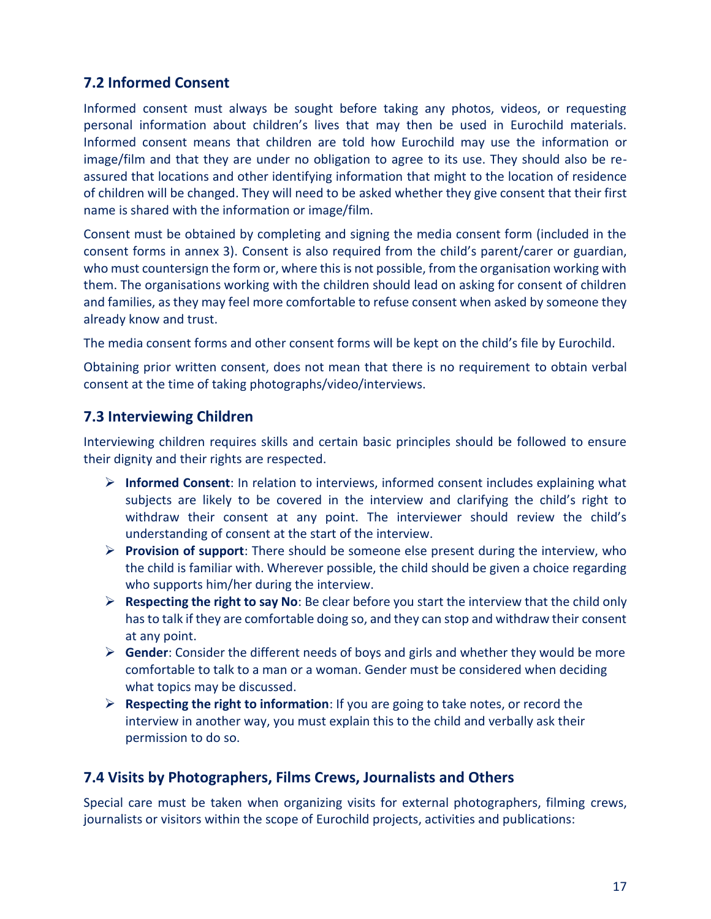# **7.2 Informed Consent**

Informed consent must always be sought before taking any photos, videos, or requesting personal information about children's lives that may then be used in Eurochild materials. Informed consent means that children are told how Eurochild may use the information or image/film and that they are under no obligation to agree to its use. They should also be reassured that locations and other identifying information that might to the location of residence of children will be changed. They will need to be asked whether they give consent that their first name is shared with the information or image/film.

Consent must be obtained by completing and signing the media consent form (included in the consent forms in annex 3). Consent is also required from the child's parent/carer or guardian, who must countersign the form or, where this is not possible, from the organisation working with them. The organisations working with the children should lead on asking for consent of children and families, as they may feel more comfortable to refuse consent when asked by someone they already know and trust.

The media consent forms and other consent forms will be kept on the child's file by Eurochild.

Obtaining prior written consent, does not mean that there is no requirement to obtain verbal consent at the time of taking photographs/video/interviews.

## **7.3 Interviewing Children**

Interviewing children requires skills and certain basic principles should be followed to ensure their dignity and their rights are respected.

- **Informed Consent**: In relation to interviews, informed consent includes explaining what subjects are likely to be covered in the interview and clarifying the child's right to withdraw their consent at any point. The interviewer should review the child's understanding of consent at the start of the interview.
- **Provision of support**: There should be someone else present during the interview, who the child is familiar with. Wherever possible, the child should be given a choice regarding who supports him/her during the interview.
- **Respecting the right to say No**: Be clear before you start the interview that the child only has to talk if they are comfortable doing so, and they can stop and withdraw their consent at any point.
- **Gender**: Consider the different needs of boys and girls and whether they would be more comfortable to talk to a man or a woman. Gender must be considered when deciding what topics may be discussed.
- **Respecting the right to information**: If you are going to take notes, or record the interview in another way, you must explain this to the child and verbally ask their permission to do so.

## **7.4 Visits by Photographers, Films Crews, Journalists and Others**

Special care must be taken when organizing visits for external photographers, filming crews, journalists or visitors within the scope of Eurochild projects, activities and publications: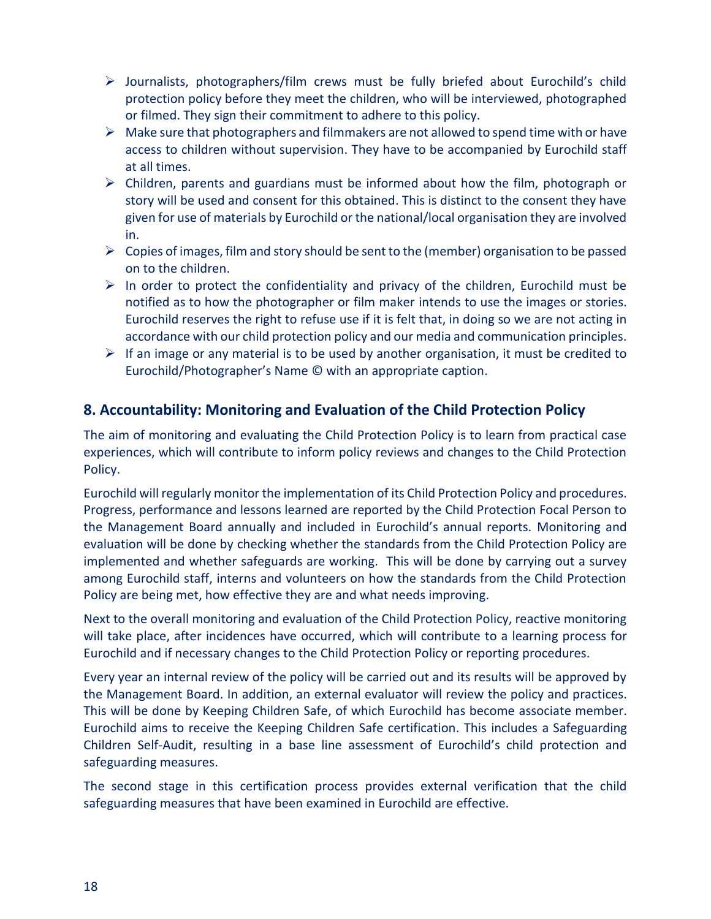- $\triangleright$  Journalists, photographers/film crews must be fully briefed about Eurochild's child protection policy before they meet the children, who will be interviewed, photographed or filmed. They sign their commitment to adhere to this policy.
- $\triangleright$  Make sure that photographers and filmmakers are not allowed to spend time with or have access to children without supervision. They have to be accompanied by Eurochild staff at all times.
- $\triangleright$  Children, parents and guardians must be informed about how the film, photograph or story will be used and consent for this obtained. This is distinct to the consent they have given for use of materials by Eurochild or the national/local organisation they are involved in.
- $\triangleright$  Copies of images, film and story should be sent to the (member) organisation to be passed on to the children.
- $\triangleright$  In order to protect the confidentiality and privacy of the children, Eurochild must be notified as to how the photographer or film maker intends to use the images or stories. Eurochild reserves the right to refuse use if it is felt that, in doing so we are not acting in accordance with our child protection policy and our media and communication principles.
- $\triangleright$  If an image or any material is to be used by another organisation, it must be credited to Eurochild/Photographer's Name © with an appropriate caption.

# **8. Accountability: Monitoring and Evaluation of the Child Protection Policy**

The aim of monitoring and evaluating the Child Protection Policy is to learn from practical case experiences, which will contribute to inform policy reviews and changes to the Child Protection Policy.

Eurochild will regularly monitor the implementation of its Child Protection Policy and procedures. Progress, performance and lessons learned are reported by the Child Protection Focal Person to the Management Board annually and included in Eurochild's annual reports. Monitoring and evaluation will be done by checking whether the standards from the Child Protection Policy are implemented and whether safeguards are working. This will be done by carrying out a survey among Eurochild staff, interns and volunteers on how the standards from the Child Protection Policy are being met, how effective they are and what needs improving.

Next to the overall monitoring and evaluation of the Child Protection Policy, reactive monitoring will take place, after incidences have occurred, which will contribute to a learning process for Eurochild and if necessary changes to the Child Protection Policy or reporting procedures.

Every year an internal review of the policy will be carried out and its results will be approved by the Management Board. In addition, an external evaluator will review the policy and practices. This will be done by Keeping Children Safe, of which Eurochild has become associate member. Eurochild aims to receive the Keeping Children Safe certification. This includes a Safeguarding Children Self-Audit, resulting in a base line assessment of Eurochild's child protection and safeguarding measures.

The second stage in this certification process provides external verification that the child safeguarding measures that have been examined in Eurochild are effective.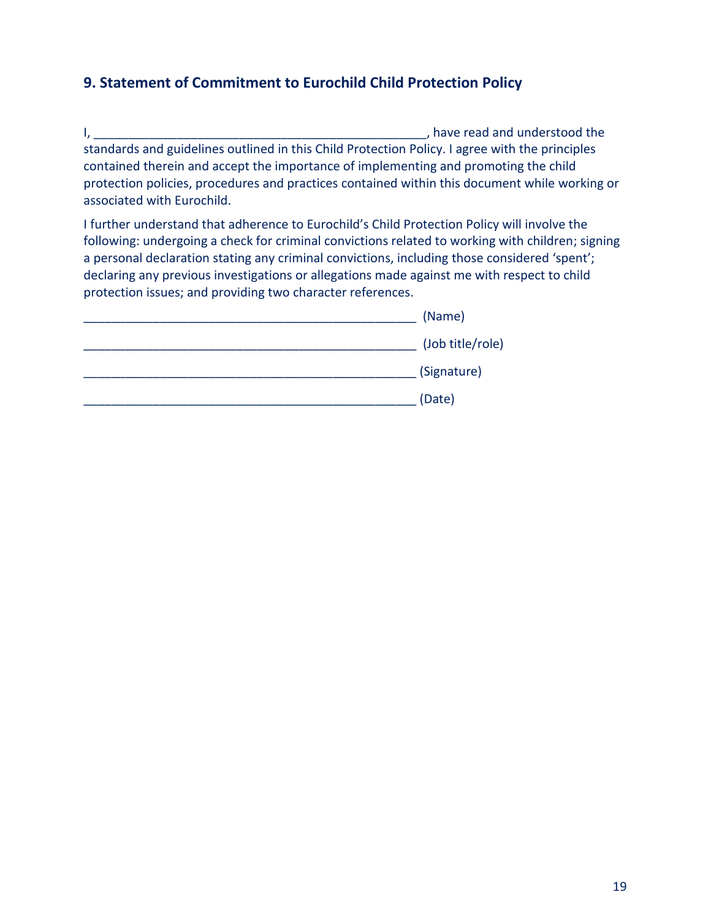# **9. Statement of Commitment to Eurochild Child Protection Policy**

I, \_\_\_\_\_\_\_\_\_\_\_\_\_\_\_\_\_\_\_\_\_\_\_\_\_\_\_\_\_\_\_\_\_\_\_\_\_\_\_\_\_\_\_\_\_\_\_\_, have read and understood the standards and guidelines outlined in this Child Protection Policy. I agree with the principles contained therein and accept the importance of implementing and promoting the child protection policies, procedures and practices contained within this document while working or associated with Eurochild.

I further understand that adherence to Eurochild's Child Protection Policy will involve the following: undergoing a check for criminal convictions related to working with children; signing a personal declaration stating any criminal convictions, including those considered 'spent'; declaring any previous investigations or allegations made against me with respect to child protection issues; and providing two character references.

| (Name)           |
|------------------|
| (Job title/role) |
| (Signature)      |
| (Date)           |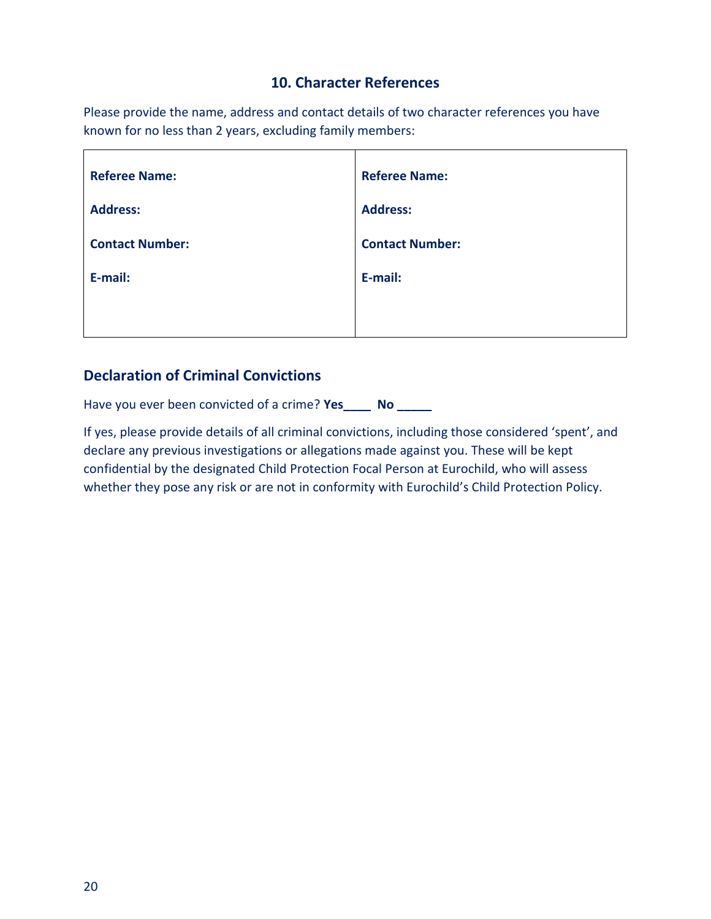## **10. Character References**

Please provide the name, address and contact details of two character references you have known for no less than 2 years, excluding family members:

| <b>Referee Name:</b>   | <b>Referee Name:</b>   |
|------------------------|------------------------|
| <b>Address:</b>        | <b>Address:</b>        |
| <b>Contact Number:</b> | <b>Contact Number:</b> |
| E-mail:                | E-mail:                |
|                        |                        |

## **Declaration of Criminal Convictions**

Have you ever been convicted of a crime? **Yes\_\_\_\_ No \_\_\_\_\_**

If yes, please provide details of all criminal convictions, including those considered 'spent', and declare any previous investigations or allegations made against you. These will be kept confidential by the designated Child Protection Focal Person at Eurochild, who will assess whether they pose any risk or are not in conformity with Eurochild's Child Protection Policy.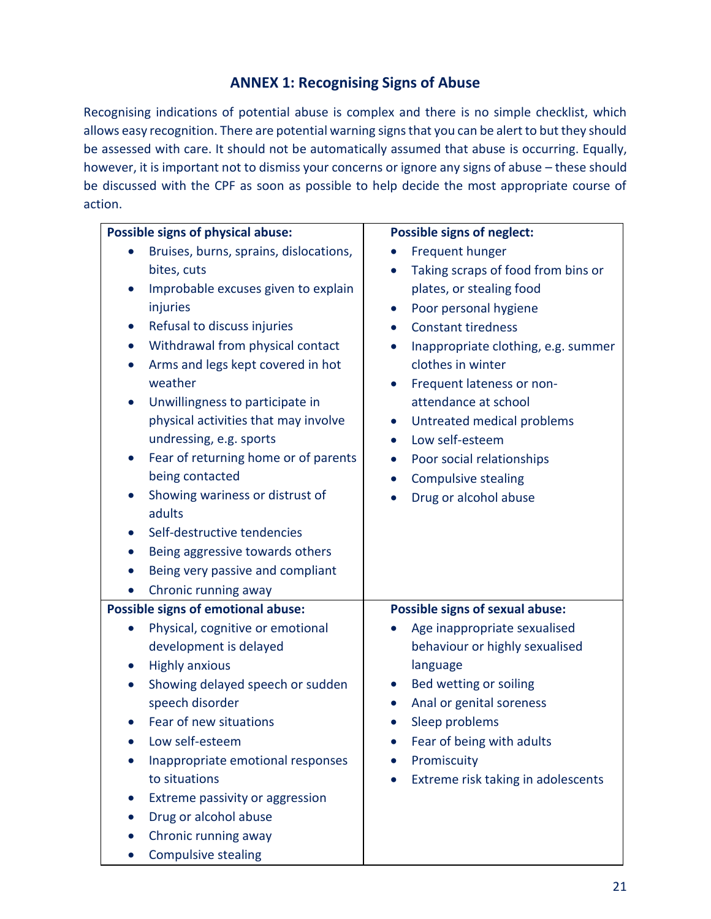## **ANNEX 1: Recognising Signs of Abuse**

Recognising indications of potential abuse is complex and there is no simple checklist, which allows easy recognition. There are potential warning signs that you can be alert to but they should be assessed with care. It should not be automatically assumed that abuse is occurring. Equally, however, it is important not to dismiss your concerns or ignore any signs of abuse – these should be discussed with the CPF as soon as possible to help decide the most appropriate course of action.

| <b>Possible signs of physical abuse:</b>          | <b>Possible signs of neglect:</b>                |
|---------------------------------------------------|--------------------------------------------------|
| Bruises, burns, sprains, dislocations,            | Frequent hunger                                  |
| bites, cuts                                       | Taking scraps of food from bins or<br>$\bullet$  |
| Improbable excuses given to explain<br>$\bullet$  | plates, or stealing food                         |
| injuries                                          | Poor personal hygiene<br>$\bullet$               |
| Refusal to discuss injuries<br>$\bullet$          | <b>Constant tiredness</b><br>$\bullet$           |
| Withdrawal from physical contact                  | Inappropriate clothing, e.g. summer<br>$\bullet$ |
| Arms and legs kept covered in hot<br>$\bullet$    | clothes in winter                                |
| weather                                           | Frequent lateness or non-<br>$\bullet$           |
| Unwillingness to participate in<br>$\bullet$      | attendance at school                             |
| physical activities that may involve              | Untreated medical problems<br>$\bullet$          |
| undressing, e.g. sports                           | Low self-esteem                                  |
| Fear of returning home or of parents<br>$\bullet$ | Poor social relationships<br>$\bullet$           |
| being contacted                                   | <b>Compulsive stealing</b><br>$\bullet$          |
| Showing wariness or distrust of<br>$\bullet$      | Drug or alcohol abuse                            |
| adults                                            |                                                  |
| Self-destructive tendencies<br>$\bullet$          |                                                  |
| Being aggressive towards others<br>$\bullet$      |                                                  |
| Being very passive and compliant<br>$\bullet$     |                                                  |
| Chronic running away<br>$\bullet$                 |                                                  |
| <b>Possible signs of emotional abuse:</b>         | Possible signs of sexual abuse:                  |
| Physical, cognitive or emotional                  | Age inappropriate sexualised                     |
| development is delayed                            | behaviour or highly sexualised                   |
| <b>Highly anxious</b>                             | language                                         |
| Showing delayed speech or sudden<br>$\bullet$     | Bed wetting or soiling<br>$\bullet$              |
| speech disorder                                   | Anal or genital soreness<br>$\bullet$            |
| Fear of new situations                            | Sleep problems                                   |
| Low self-esteem                                   | Fear of being with adults                        |
| Inappropriate emotional responses                 | Promiscuity                                      |
| to situations                                     | Extreme risk taking in adolescents               |
| Extreme passivity or aggression                   |                                                  |
| Drug or alcohol abuse                             |                                                  |
| Chronic running away<br>$\bullet$                 |                                                  |
| <b>Compulsive stealing</b>                        |                                                  |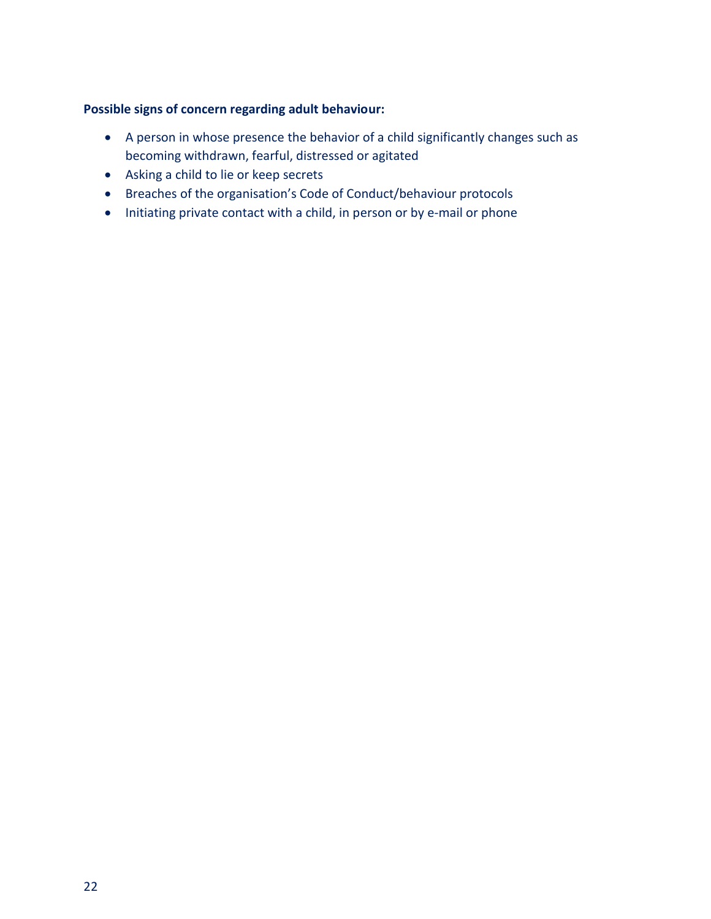## **Possible signs of concern regarding adult behaviour:**

- A person in whose presence the behavior of a child significantly changes such as becoming withdrawn, fearful, distressed or agitated
- Asking a child to lie or keep secrets
- Breaches of the organisation's Code of Conduct/behaviour protocols
- Initiating private contact with a child, in person or by e-mail or phone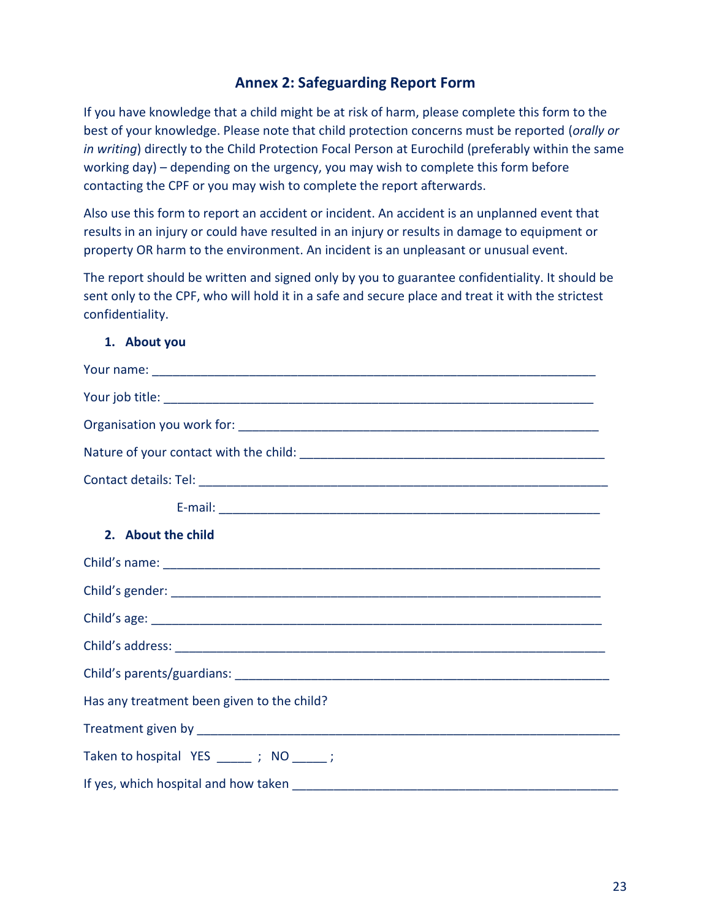## **Annex 2: Safeguarding Report Form**

If you have knowledge that a child might be at risk of harm, please complete this form to the best of your knowledge. Please note that child protection concerns must be reported (*orally or in writing*) directly to the Child Protection Focal Person at Eurochild (preferably within the same working day) – depending on the urgency, you may wish to complete this form before contacting the CPF or you may wish to complete the report afterwards.

Also use this form to report an accident or incident. An accident is an unplanned event that results in an injury or could have resulted in an injury or results in damage to equipment or property OR harm to the environment. An incident is an unpleasant or unusual event.

The report should be written and signed only by you to guarantee confidentiality. It should be sent only to the CPF, who will hold it in a safe and secure place and treat it with the strictest confidentiality.

#### **1. About you**

| 2. About the child                         |  |
|--------------------------------------------|--|
|                                            |  |
|                                            |  |
|                                            |  |
|                                            |  |
|                                            |  |
| Has any treatment been given to the child? |  |
|                                            |  |
| Taken to hospital YES _______; NO ______;  |  |
|                                            |  |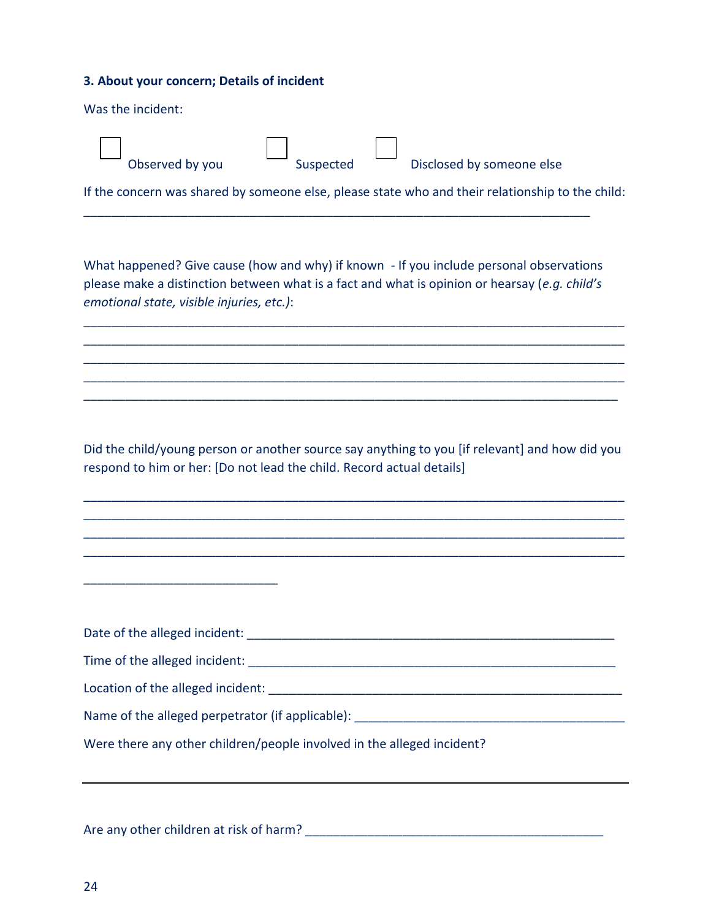#### **3. About your concern; Details of incident**

| Was the incident: |
|-------------------|
|-------------------|

| Observed by you | Suspected | Disclosed by someone else                                                                        |
|-----------------|-----------|--------------------------------------------------------------------------------------------------|
|                 |           | If the concern was shared by someone else, please state who and their relationship to the child: |

What happened? Give cause (how and why) if known - If you include personal observations please make a distinction between what is a fact and what is opinion or hearsay (*e.g. child's emotional state, visible injuries, etc.)*:

\_\_\_\_\_\_\_\_\_\_\_\_\_\_\_\_\_\_\_\_\_\_\_\_\_\_\_\_\_\_\_\_\_\_\_\_\_\_\_\_\_\_\_\_\_\_\_\_\_\_\_\_\_\_\_\_\_\_\_\_\_\_\_\_\_\_\_\_\_\_\_\_\_\_\_\_\_\_ \_\_\_\_\_\_\_\_\_\_\_\_\_\_\_\_\_\_\_\_\_\_\_\_\_\_\_\_\_\_\_\_\_\_\_\_\_\_\_\_\_\_\_\_\_\_\_\_\_\_\_\_\_\_\_\_\_\_\_\_\_\_\_\_\_\_\_\_\_\_\_\_\_\_\_\_\_\_ \_\_\_\_\_\_\_\_\_\_\_\_\_\_\_\_\_\_\_\_\_\_\_\_\_\_\_\_\_\_\_\_\_\_\_\_\_\_\_\_\_\_\_\_\_\_\_\_\_\_\_\_\_\_\_\_\_\_\_\_\_\_\_\_\_\_\_\_\_\_\_\_\_\_\_\_\_\_ \_\_\_\_\_\_\_\_\_\_\_\_\_\_\_\_\_\_\_\_\_\_\_\_\_\_\_\_\_\_\_\_\_\_\_\_\_\_\_\_\_\_\_\_\_\_\_\_\_\_\_\_\_\_\_\_\_\_\_\_\_\_\_\_\_\_\_\_\_\_\_\_\_\_\_\_\_\_ \_\_\_\_\_\_\_\_\_\_\_\_\_\_\_\_\_\_\_\_\_\_\_\_\_\_\_\_\_\_\_\_\_\_\_\_\_\_\_\_\_\_\_\_\_\_\_\_\_\_\_\_\_\_\_\_\_\_\_\_\_\_\_\_\_\_\_\_\_\_\_\_\_\_\_\_\_

Did the child/young person or another source say anything to you [if relevant] and how did you respond to him or her: [Do not lead the child. Record actual details]

\_\_\_\_\_\_\_\_\_\_\_\_\_\_\_\_\_\_\_\_\_\_\_\_\_\_\_\_\_\_\_\_\_\_\_\_\_\_\_\_\_\_\_\_\_\_\_\_\_\_\_\_\_\_\_\_\_\_\_\_\_\_\_\_\_\_\_\_\_\_\_\_\_\_\_\_\_\_ \_\_\_\_\_\_\_\_\_\_\_\_\_\_\_\_\_\_\_\_\_\_\_\_\_\_\_\_\_\_\_\_\_\_\_\_\_\_\_\_\_\_\_\_\_\_\_\_\_\_\_\_\_\_\_\_\_\_\_\_\_\_\_\_\_\_\_\_\_\_\_\_\_\_\_\_\_\_ \_\_\_\_\_\_\_\_\_\_\_\_\_\_\_\_\_\_\_\_\_\_\_\_\_\_\_\_\_\_\_\_\_\_\_\_\_\_\_\_\_\_\_\_\_\_\_\_\_\_\_\_\_\_\_\_\_\_\_\_\_\_\_\_\_\_\_\_\_\_\_\_\_\_\_\_\_\_ \_\_\_\_\_\_\_\_\_\_\_\_\_\_\_\_\_\_\_\_\_\_\_\_\_\_\_\_\_\_\_\_\_\_\_\_\_\_\_\_\_\_\_\_\_\_\_\_\_\_\_\_\_\_\_\_\_\_\_\_\_\_\_\_\_\_\_\_\_\_\_\_\_\_\_\_\_\_

Date of the alleged incident: \_\_\_\_\_\_\_\_\_\_\_\_\_\_\_\_\_\_\_\_\_\_\_\_\_\_\_\_\_\_\_\_\_\_\_\_\_\_\_\_\_\_\_\_\_\_\_\_\_\_\_\_\_ Time of the alleged incident: \_\_\_\_\_\_\_\_\_\_\_\_\_\_\_\_\_\_\_\_\_\_\_\_\_\_\_\_\_\_\_\_\_\_\_\_\_\_\_\_\_\_\_\_\_\_\_\_\_\_\_\_\_ Location of the alleged incident: \_\_\_\_\_\_\_\_\_\_\_\_\_\_\_\_\_\_\_\_\_\_\_\_\_\_\_\_\_\_\_\_\_\_\_\_\_\_\_\_\_\_\_\_\_\_\_\_\_\_\_ Name of the alleged perpetrator (if applicable):  $\blacksquare$ Were there any other children/people involved in the alleged incident?

#### Are any other children at risk of harm? \_\_\_\_\_\_\_\_\_\_\_\_\_\_\_\_\_\_\_\_\_\_\_\_\_\_\_\_\_\_\_\_\_\_\_\_\_\_\_\_\_\_\_

\_\_\_\_\_\_\_\_\_\_\_\_\_\_\_\_\_\_\_\_\_\_\_\_\_\_\_\_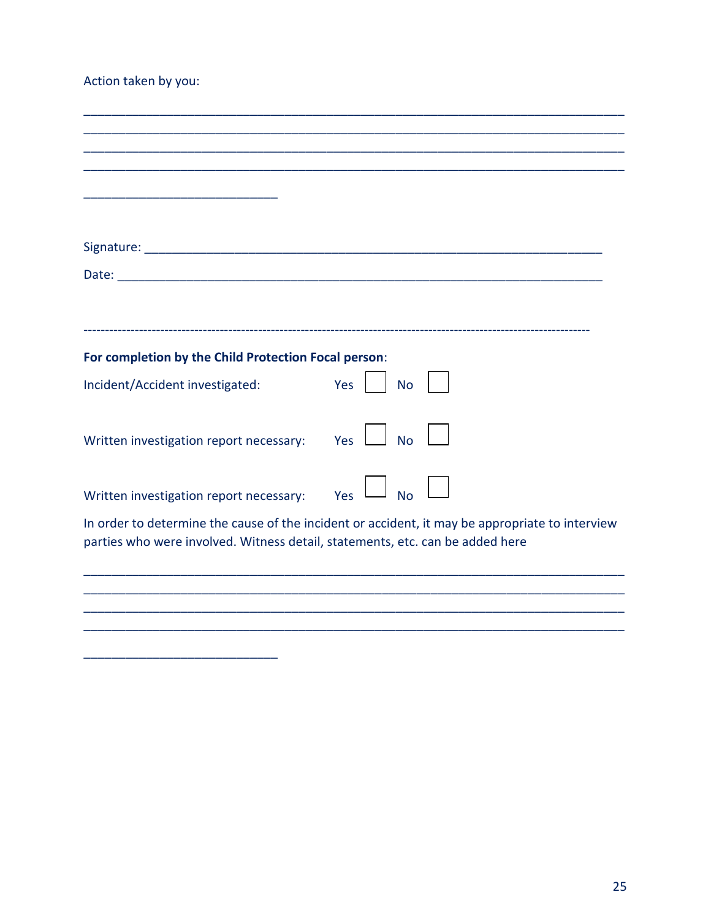## Action taken by you:

| For completion by the Child Protection Focal person:                          |                                                                                                 |
|-------------------------------------------------------------------------------|-------------------------------------------------------------------------------------------------|
| Incident/Accident investigated:                                               | Yes<br><b>No</b>                                                                                |
|                                                                               |                                                                                                 |
| Written investigation report necessary:                                       | Yes<br><b>No</b>                                                                                |
|                                                                               |                                                                                                 |
| Written investigation report necessary:                                       | Yes<br><b>No</b>                                                                                |
|                                                                               | In order to determine the cause of the incident or accident, it may be appropriate to interview |
| parties who were involved. Witness detail, statements, etc. can be added here |                                                                                                 |
|                                                                               |                                                                                                 |
|                                                                               |                                                                                                 |
|                                                                               |                                                                                                 |
|                                                                               |                                                                                                 |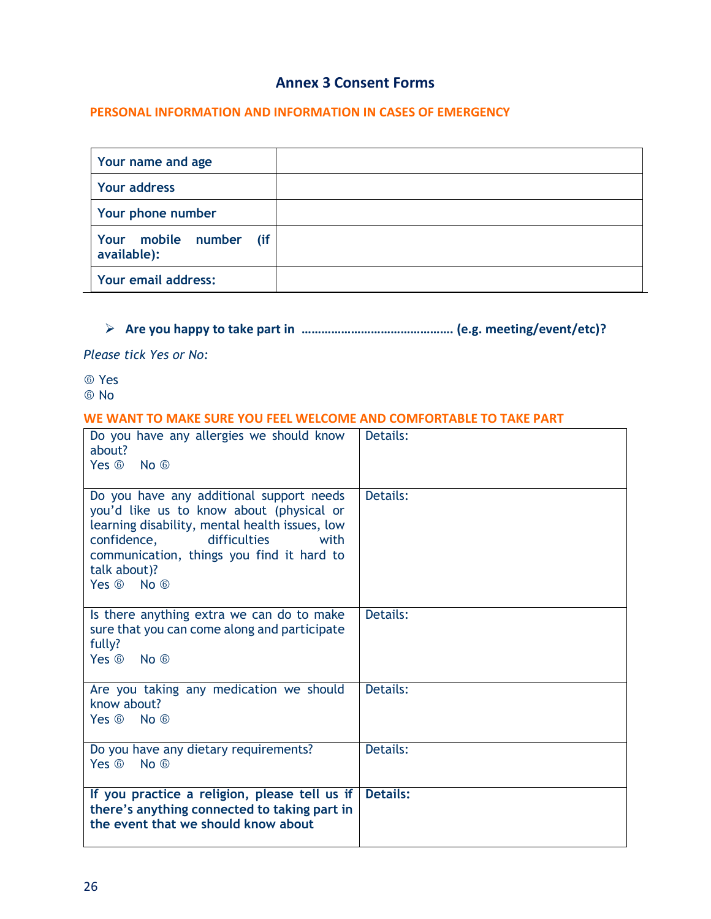## **Annex 3 Consent Forms**

#### **PERSONAL INFORMATION AND INFORMATION IN CASES OF EMERGENCY**

| Your name and age                         |  |
|-------------------------------------------|--|
| Your address                              |  |
| Your phone number                         |  |
| Your mobile number<br>(if)<br>available): |  |
| <b>Your email address:</b>                |  |

# **Are you happy to take part in ………………………………………. (e.g. meeting/event/etc)?**

*Please tick Yes or No:*

 Yes No

#### **WE WANT TO MAKE SURE YOU FEEL WELCOME AND COMFORTABLE TO TAKE PART**

| Do you have any allergies we should know<br>about?<br>Yes 6 No 6                                                                                                                                                                                         | Details:        |
|----------------------------------------------------------------------------------------------------------------------------------------------------------------------------------------------------------------------------------------------------------|-----------------|
| Do you have any additional support needs<br>you'd like us to know about (physical or<br>learning disability, mental health issues, low<br>difficulties<br>confidence,<br>with<br>communication, things you find it hard to<br>talk about)?<br>Yes 6 No 6 | Details:        |
| Is there anything extra we can do to make<br>sure that you can come along and participate<br>fully?<br>Yes 6 No 6                                                                                                                                        | Details:        |
| Are you taking any medication we should<br>know about?<br>Yes 6 No 6                                                                                                                                                                                     | Details:        |
| Do you have any dietary requirements?<br>Yes @<br>$No$ $\circledcirc$                                                                                                                                                                                    | Details:        |
| If you practice a religion, please tell us if<br>there's anything connected to taking part in<br>the event that we should know about                                                                                                                     | <b>Details:</b> |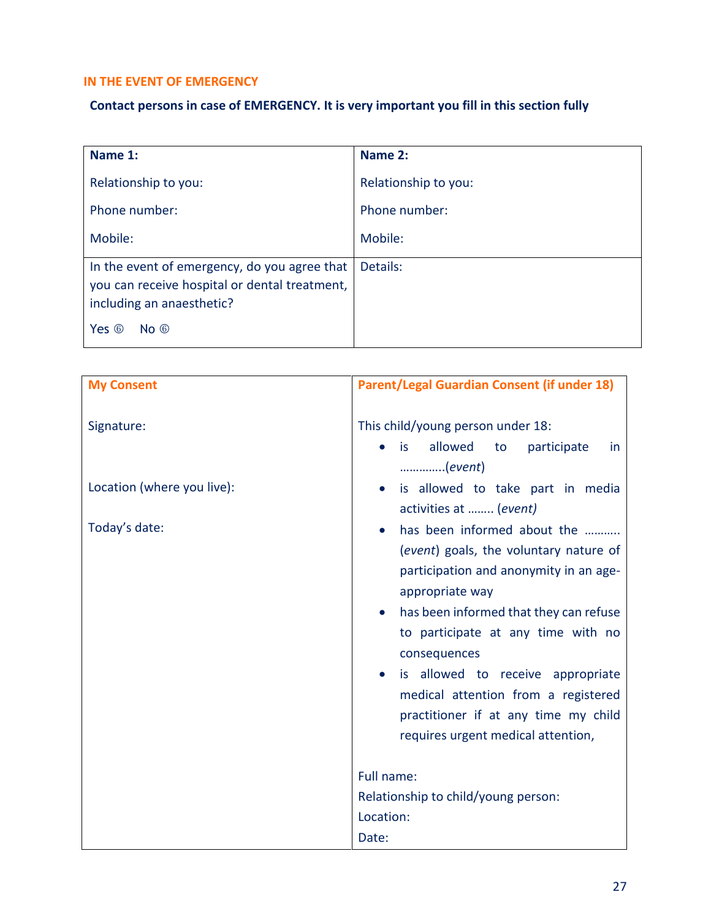## **IN THE EVENT OF EMERGENCY**

# **Contact persons in case of EMERGENCY. It is very important you fill in this section fully**

| Name 1:                                                                                                                                                    | Name 2:              |
|------------------------------------------------------------------------------------------------------------------------------------------------------------|----------------------|
| Relationship to you:                                                                                                                                       | Relationship to you: |
| Phone number:                                                                                                                                              | Phone number:        |
| Mobile:                                                                                                                                                    | Mobile:              |
| In the event of emergency, do you agree that<br>you can receive hospital or dental treatment,<br>including an anaesthetic?<br>Yes $6$<br>$No \circledcirc$ | Details:             |

| <b>My Consent</b>          | <b>Parent/Legal Guardian Consent (if under 18)</b>                                                                                                                                                                                                                                                                                                                                           |
|----------------------------|----------------------------------------------------------------------------------------------------------------------------------------------------------------------------------------------------------------------------------------------------------------------------------------------------------------------------------------------------------------------------------------------|
| Signature:                 | This child/young person under 18:<br>allowed<br>is<br>to<br>participate<br>in.<br>(event)                                                                                                                                                                                                                                                                                                    |
| Location (where you live): | is allowed to take part in media<br>activities at  (event)                                                                                                                                                                                                                                                                                                                                   |
| Today's date:              | has been informed about the<br>(event) goals, the voluntary nature of<br>participation and anonymity in an age-<br>appropriate way<br>has been informed that they can refuse<br>to participate at any time with no<br>consequences<br>is allowed to receive appropriate<br>medical attention from a registered<br>practitioner if at any time my child<br>requires urgent medical attention, |
|                            | Full name:                                                                                                                                                                                                                                                                                                                                                                                   |
|                            | Relationship to child/young person:<br>Location:<br>Date:                                                                                                                                                                                                                                                                                                                                    |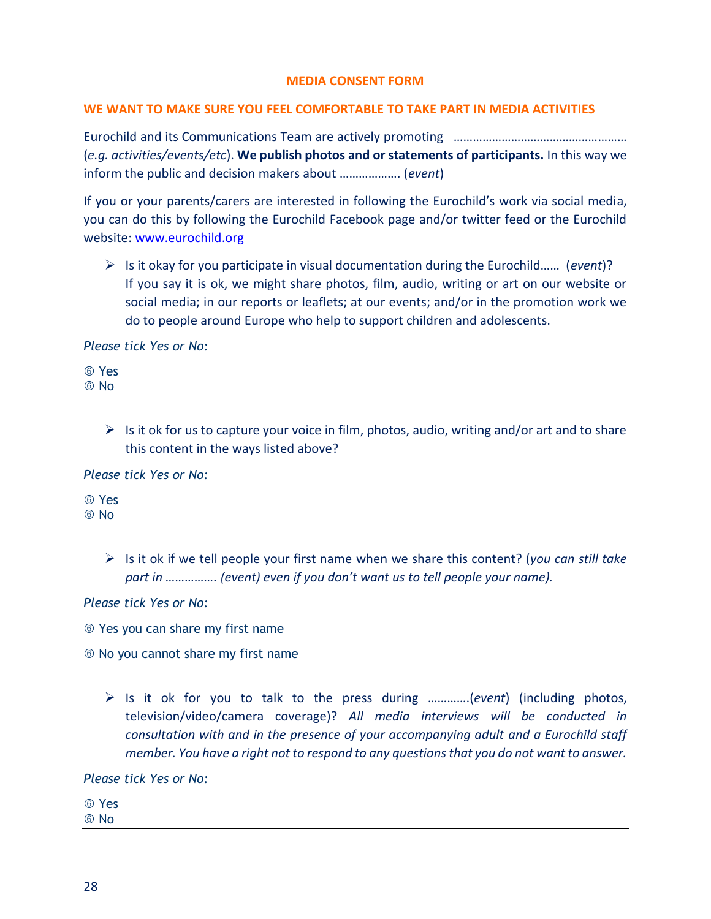#### **MEDIA CONSENT FORM**

#### **WE WANT TO MAKE SURE YOU FEEL COMFORTABLE TO TAKE PART IN MEDIA ACTIVITIES**

Eurochild and its Communications Team are actively promoting ……………………………………………… (*e.g. activities/events/etc*). **We publish photos and or statements of participants.** In this way we inform the public and decision makers about ………………. (*event*)

If you or your parents/carers are interested in following the Eurochild's work via social media, you can do this by following the Eurochild Facebook page and/or twitter feed or the Eurochild website: [www.eurochild.org](http://www.eurochild.org/)

 Is it okay for you participate in visual documentation during the Eurochild…… (*event*)? If you say it is ok, we might share photos, film, audio, writing or art on our website or social media; in our reports or leaflets; at our events; and/or in the promotion work we do to people around Europe who help to support children and adolescents.

*Please tick Yes or No:*

 Yes **6 No** 

> $\triangleright$  Is it ok for us to capture your voice in film, photos, audio, writing and/or art and to share this content in the ways listed above?

*Please tick Yes or No:*

 Yes No

> Is it ok if we tell people your first name when we share this content? (*you can still take part in ……………. (event) even if you don't want us to tell people your name).*

*Please tick Yes or No:*

Yes you can share my first name

No you cannot share my first name

 Is it ok for you to talk to the press during ………….(*event*) (including photos, television/video/camera coverage)? *All media interviews will be conducted in consultation with and in the presence of your accompanying adult and a Eurochild staff member. You have a right not to respond to any questions that you do not want to answer.*

*Please tick Yes or No:*

Yes

No